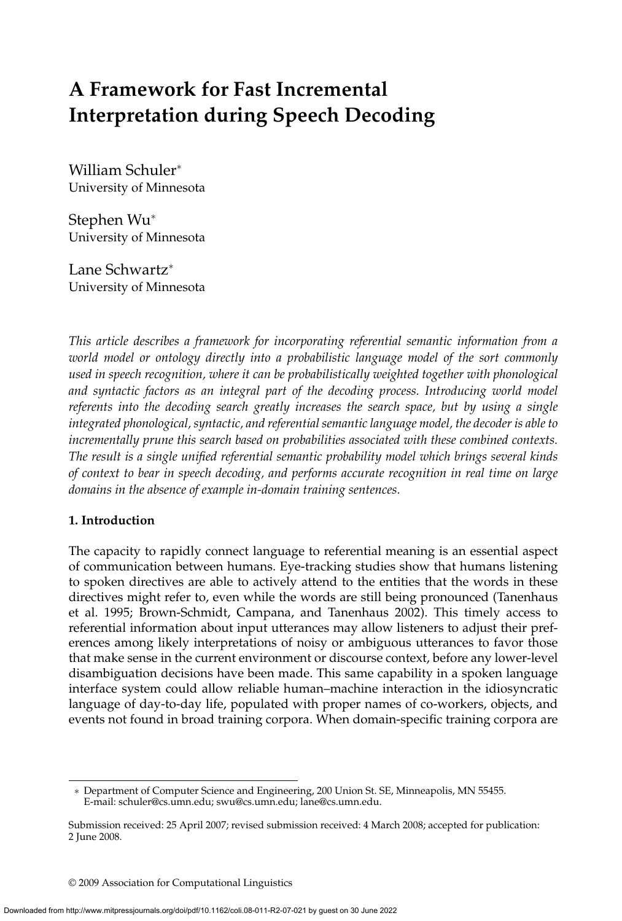# **A Framework for Fast Incremental Interpretation during Speech Decoding**

William Schuler<sup>∗</sup> University of Minnesota

Stephen Wu<sup>∗</sup> University of Minnesota

Lane Schwartz<sup>∗</sup> University of Minnesota

*This article describes a framework for incorporating referential semantic information from a world model or ontology directly into a probabilistic language model of the sort commonly used in speech recognition, where it can be probabilistically weighted together with phonological and syntactic factors as an integral part of the decoding process. Introducing world model referents into the decoding search greatly increases the search space, but by using a single integrated phonological, syntactic, and referential semantic language model, the decoder is able to incrementally prune this search based on probabilities associated with these combined contexts. The result is a single unified referential semantic probability model which brings several kinds of context to bear in speech decoding, and performs accurate recognition in real time on large domains in the absence of example in-domain training sentences.*

# **1. Introduction**

The capacity to rapidly connect language to referential meaning is an essential aspect of communication between humans. Eye-tracking studies show that humans listening to spoken directives are able to actively attend to the entities that the words in these directives might refer to, even while the words are still being pronounced (Tanenhaus et al. 1995; Brown-Schmidt, Campana, and Tanenhaus 2002). This timely access to referential information about input utterances may allow listeners to adjust their preferences among likely interpretations of noisy or ambiguous utterances to favor those that make sense in the current environment or discourse context, before any lower-level disambiguation decisions have been made. This same capability in a spoken language interface system could allow reliable human–machine interaction in the idiosyncratic language of day-to-day life, populated with proper names of co-workers, objects, and events not found in broad training corpora. When domain-specific training corpora are

<sup>∗</sup> Department of Computer Science and Engineering, 200 Union St. SE, Minneapolis, MN 55455. E-mail: schuler@cs.umn.edu; swu@cs.umn.edu; lane@cs.umn.edu.

Submission received: 25 April 2007; revised submission received: 4 March 2008; accepted for publication: 2 June 2008.

<sup>© 2009</sup> Association for Computational Linguistics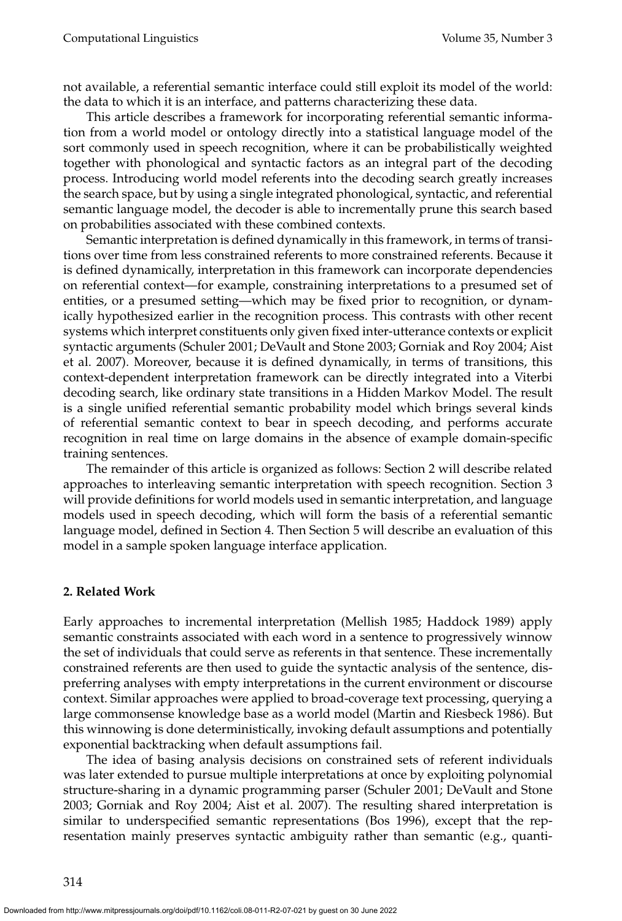not available, a referential semantic interface could still exploit its model of the world: the data to which it is an interface, and patterns characterizing these data.

This article describes a framework for incorporating referential semantic information from a world model or ontology directly into a statistical language model of the sort commonly used in speech recognition, where it can be probabilistically weighted together with phonological and syntactic factors as an integral part of the decoding process. Introducing world model referents into the decoding search greatly increases the search space, but by using a single integrated phonological, syntactic, and referential semantic language model, the decoder is able to incrementally prune this search based on probabilities associated with these combined contexts.

Semantic interpretation is defined dynamically in this framework, in terms of transitions over time from less constrained referents to more constrained referents. Because it is defined dynamically, interpretation in this framework can incorporate dependencies on referential context—for example, constraining interpretations to a presumed set of entities, or a presumed setting—which may be fixed prior to recognition, or dynamically hypothesized earlier in the recognition process. This contrasts with other recent systems which interpret constituents only given fixed inter-utterance contexts or explicit syntactic arguments (Schuler 2001; DeVault and Stone 2003; Gorniakand Roy 2004; Aist et al. 2007). Moreover, because it is defined dynamically, in terms of transitions, this context-dependent interpretation framework can be directly integrated into a Viterbi decoding search, like ordinary state transitions in a Hidden Markov Model. The result is a single unified referential semantic probability model which brings several kinds of referential semantic context to bear in speech decoding, and performs accurate recognition in real time on large domains in the absence of example domain-specific training sentences.

The remainder of this article is organized as follows: Section 2 will describe related approaches to interleaving semantic interpretation with speech recognition. Section 3 will provide definitions for world models used in semantic interpretation, and language models used in speech decoding, which will form the basis of a referential semantic language model, defined in Section 4. Then Section 5 will describe an evaluation of this model in a sample spoken language interface application.

## **2. Related Work**

Early approaches to incremental interpretation (Mellish 1985; Haddock 1989) apply semantic constraints associated with each word in a sentence to progressively winnow the set of individuals that could serve as referents in that sentence. These incrementally constrained referents are then used to guide the syntactic analysis of the sentence, dispreferring analyses with empty interpretations in the current environment or discourse context. Similar approaches were applied to broad-coverage text processing, querying a large commonsense knowledge base as a world model (Martin and Riesbeck 1986). But this winnowing is done deterministically, invoking default assumptions and potentially exponential backtracking when default assumptions fail.

The idea of basing analysis decisions on constrained sets of referent individuals was later extended to pursue multiple interpretations at once by exploiting polynomial structure-sharing in a dynamic programming parser (Schuler 2001; DeVault and Stone 2003; Gorniak and Roy 2004; Aist et al. 2007). The resulting shared interpretation is similar to underspecified semantic representations (Bos 1996), except that the representation mainly preserves syntactic ambiguity rather than semantic (e.g., quanti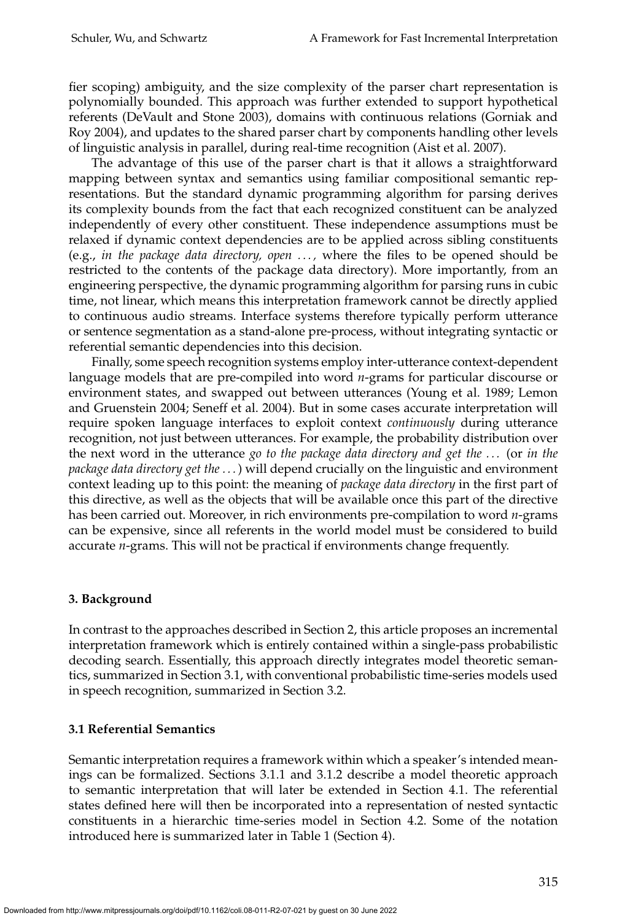fier scoping) ambiguity, and the size complexity of the parser chart representation is polynomially bounded. This approach was further extended to support hypothetical referents (DeVault and Stone 2003), domains with continuous relations (Gorniakand Roy 2004), and updates to the shared parser chart by components handling other levels of linguistic analysis in parallel, during real-time recognition (Aist et al. 2007).

The advantage of this use of the parser chart is that it allows a straightforward mapping between syntax and semantics using familiar compositional semantic representations. But the standard dynamic programming algorithm for parsing derives its complexity bounds from the fact that each recognized constituent can be analyzed independently of every other constituent. These independence assumptions must be relaxed if dynamic context dependencies are to be applied across sibling constituents (e.g., *in the package data directory, open ...,* where the files to be opened should be restricted to the contents of the package data directory). More importantly, from an engineering perspective, the dynamic programming algorithm for parsing runs in cubic time, not linear, which means this interpretation framework cannot be directly applied to continuous audio streams. Interface systems therefore typically perform utterance or sentence segmentation as a stand-alone pre-process, without integrating syntactic or referential semantic dependencies into this decision.

Finally, some speech recognition systems employ inter-utterance context-dependent language models that are pre-compiled into word *n*-grams for particular discourse or environment states, and swapped out between utterances (Young et al. 1989; Lemon and Gruenstein 2004; Seneff et al. 2004). But in some cases accurate interpretation will require spoken language interfaces to exploit context *continuously* during utterance recognition, not just between utterances. For example, the probability distribution over the next word in the utterance *go to the package data directory and get the . . .* (or *in the package data directory get the . . .*) will depend crucially on the linguistic and environment context leading up to this point: the meaning of *package data directory* in the first part of this directive, as well as the objects that will be available once this part of the directive has been carried out. Moreover, in rich environments pre-compilation to word *n*-grams can be expensive, since all referents in the world model must be considered to build accurate *n*-grams. This will not be practical if environments change frequently.

# **3. Background**

In contrast to the approaches described in Section 2, this article proposes an incremental interpretation framework which is entirely contained within a single-pass probabilistic decoding search. Essentially, this approach directly integrates model theoretic semantics, summarized in Section 3.1, with conventional probabilistic time-series models used in speech recognition, summarized in Section 3.2.

# **3.1 Referential Semantics**

Semantic interpretation requires a framework within which a speaker's intended meanings can be formalized. Sections 3.1.1 and 3.1.2 describe a model theoretic approach to semantic interpretation that will later be extended in Section 4.1. The referential states defined here will then be incorporated into a representation of nested syntactic constituents in a hierarchic time-series model in Section 4.2. Some of the notation introduced here is summarized later in Table 1 (Section 4).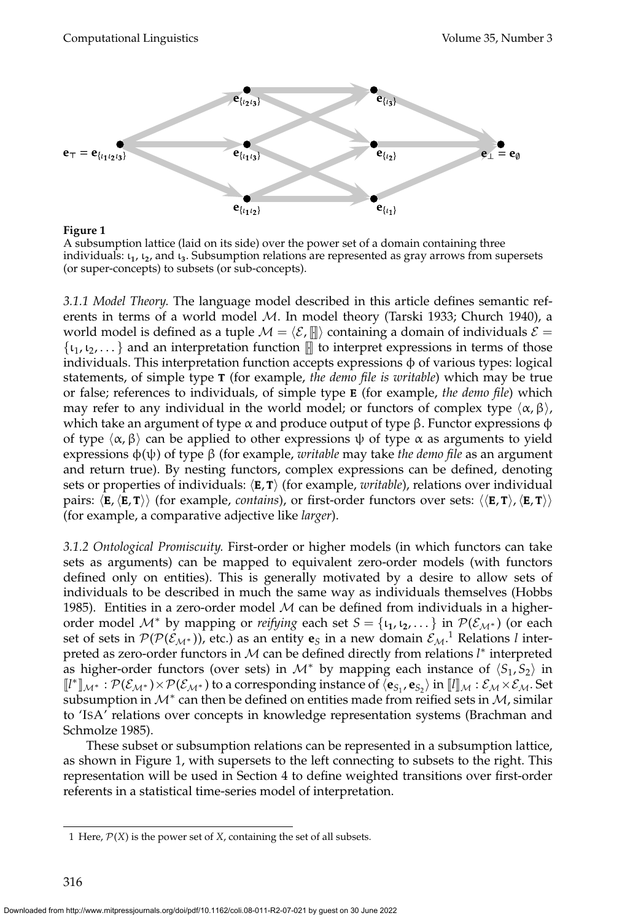

**Figure 1**

A subsumption lattice (laid on its side) over the power set of a domain containing three individuals: ι**1**, ι**2**, and ι**3**. Subsumption relations are represented as gray arrows from supersets (or super-concepts) to subsets (or sub-concepts).

*3.1.1 Model Theory.* The language model described in this article defines semantic referents in terms of a world model  $M$ . In model theory (Tarski 1933; Church 1940), a world model is defined as a tuple  $\mathcal{M} = \langle \mathcal{E}, \text{W} \rangle$  containing a domain of individuals  $\mathcal{E} =$  $\{t_1, t_2, \dots\}$  and an interpretation function  $\parallel \parallel$  to interpret expressions in terms of those individuals. This interpretation function accepts expressions φ of various types: logical statements, of simple type T (for example, *the demo file is writable*) which may be true or false; references to individuals, of simple type E (for example, *the demo file*) which may refer to any individual in the world model; or functors of complex type  $\langle \alpha, \beta \rangle$ , which take an argument of type  $\alpha$  and produce output of type  $\beta$ . Functor expressions  $\phi$ of type  $\langle \alpha, \beta \rangle$  can be applied to other expressions  $\psi$  of type  $\alpha$  as arguments to yield expressions φ(ψ) of type β (for example, *writable* may take *the demo file* as an argument and return true). By nesting functors, complex expressions can be defined, denoting sets or properties of individuals:  $\langle \mathbf{E}, \mathbf{T} \rangle$  (for example, *writable*), relations over individual pairs:  $\langle E, \langle E, T \rangle \rangle$  (for example, *contains*), or first-order functors over sets:  $\langle E, T \rangle$ ,  $\langle E, T \rangle$ (for example, a comparative adjective like *larger*).

*3.1.2 Ontological Promiscuity.* First-order or higher models (in which functors can take sets as arguments) can be mapped to equivalent zero-order models (with functors defined only on entities). This is generally motivated by a desire to allow sets of individuals to be described in much the same way as individuals themselves (Hobbs 1985). Entities in a zero-order model  $M$  can be defined from individuals in a higherorder model  $M^*$  by mapping or *reifying* each set  $S = \{t_1, t_2, \dots\}$  in  $\mathcal{P}(\mathcal{E}_{M^*})$  (or each set of sets in  $\mathcal{P}(\mathcal{P}(\mathcal{E}_{\mathcal{M}^*}))$ , etc.) as an entity  $\mathbf{e}_S$  in a new domain  $\mathcal{E}_{\mathcal{M}}$ .<sup>1</sup> Relations *l* interpreted as zero-order functors in *M* can be defined directly from relations *l*<sup>\*</sup> interpreted as higher-order functors (over sets) in  $\mathcal{M}^*$  by mapping each instance of  $\langle S_1, S_2 \rangle$  in  $\llbracket l^* \rrbracket_{\mathcal{M}^*} : \mathcal{P}(\mathcal{E}_{\mathcal{M}^*}) \times \mathcal{P}(\mathcal{E}_{\mathcal{M}^*})$  to a corresponding instance of  $\langle \mathbf{e}_{S_1}, \mathbf{e}_{S_2} \rangle$  in  $\llbracket l \rrbracket_{\mathcal{M}} : \mathcal{E}_{\mathcal{M}} \times \mathcal{E}_{\mathcal{M}}$ . Set subsumption in  $\mathcal{M}^*$  can then be defined on entities made from reified sets in  $\mathcal{M}$ , similar to 'ISA' relations over concepts in knowledge representation systems (Brachman and Schmolze 1985).

These subset or subsumption relations can be represented in a subsumption lattice, as shown in Figure 1, with supersets to the left connecting to subsets to the right. This representation will be used in Section 4 to define weighted transitions over first-order referents in a statistical time-series model of interpretation.

<sup>1</sup> Here, P(*X*) is the power set of *X*, containing the set of all subsets.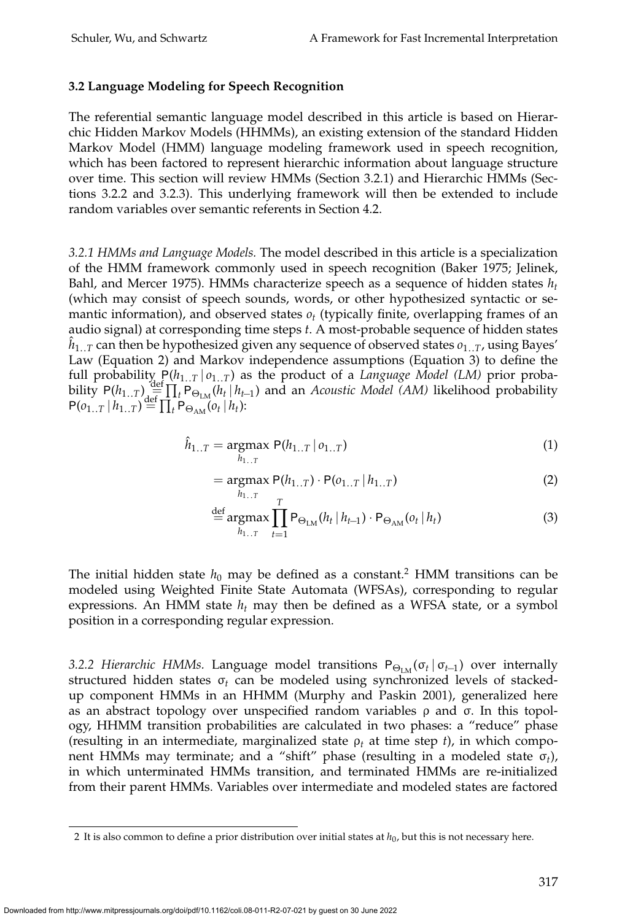# **3.2 Language Modeling for Speech Recognition**

The referential semantic language model described in this article is based on Hierarchic Hidden Markov Models (HHMMs), an existing extension of the standard Hidden Markov Model (HMM) language modeling framework used in speech recognition, which has been factored to represent hierarchic information about language structure over time. This section will review HMMs (Section 3.2.1) and Hierarchic HMMs (Sections 3.2.2 and 3.2.3). This underlying framework will then be extended to include random variables over semantic referents in Section 4.2.

*3.2.1 HMMs and Language Models.* The model described in this article is a specialization of the HMM framework commonly used in speech recognition (Baker 1975; Jelinek, Bahl, and Mercer 1975). HMMs characterize speech as a sequence of hidden states *ht* (which may consist of speech sounds, words, or other hypothesized syntactic or semantic information), and observed states  $o_t$  (typically finite, overlapping frames of an audio signal) at corresponding time steps *t*. A most-probable sequence of hidden states  $h_{1,T}$  can then be hypothesized given any sequence of observed states  $o_{1,T}$ , using Bayes' Law (Equation 2) and Markov independence assumptions (Equation 3) to define the full probability  $P(h_{1..T} | o_{1..T})$  as the product of a *Language Model (LM)* prior probability  $P(h_{1..T})$  def  $\prod_{k=1}^{T} I_k P_{\Theta_{LM}}(h_k | h_{t-1})$  and an *Acoustic Model (AM)* likelihood probability  $P(o_{1..T} | h_{1..T}) \stackrel{\text{def}}{=} \prod_{t} P_{\Theta_{AM}}(o_t | h_t)$ :

$$
\hat{h}_{1..T} = \underset{h_{1..T}}{\text{argmax}} \ \mathsf{P}(h_{1..T} \, | \, o_{1..T}) \tag{1}
$$

$$
= \underset{h_{1..T}}{\text{argmax}} P(h_{1..T}) \cdot P(o_{1..T} | h_{1..T}) \tag{2}
$$

$$
\stackrel{\text{def}}{=} \underset{h_{1..T}}{\text{argmax}} \prod_{t=1}^{T} \mathsf{P}_{\Theta_{LM}}(h_t \, | \, h_{t-1}) \cdot \mathsf{P}_{\Theta_{AM}}(o_t \, | \, h_t) \tag{3}
$$

The initial hidden state  $h_0$  may be defined as a constant.<sup>2</sup> HMM transitions can be modeled using Weighted Finite State Automata (WFSAs), corresponding to regular expressions. An HMM state  $h_t$  may then be defined as a WFSA state, or a symbol position in a corresponding regular expression.

*3.2.2 Hierarchic HMMs.* Language model transitions  $P_{\Theta_{LM}}(\sigma_t | \sigma_{t-1})$  over internally structured hidden states σ*<sup>t</sup>* can be modeled using synchronized levels of stackedup component HMMs in an HHMM (Murphy and Paskin 2001), generalized here as an abstract topology over unspecified random variables  $\rho$  and  $\sigma$ . In this topology, HHMM transition probabilities are calculated in two phases: a "reduce" phase (resulting in an intermediate, marginalized state  $\rho_t$  at time step *t*), in which component HMMs may terminate; and a "shift" phase (resulting in a modeled state σ*t*), in which unterminated HMMs transition, and terminated HMMs are re-initialized from their parent HMMs. Variables over intermediate and modeled states are factored

<sup>2</sup> It is also common to define a prior distribution over initial states at  $h_0$ , but this is not necessary here.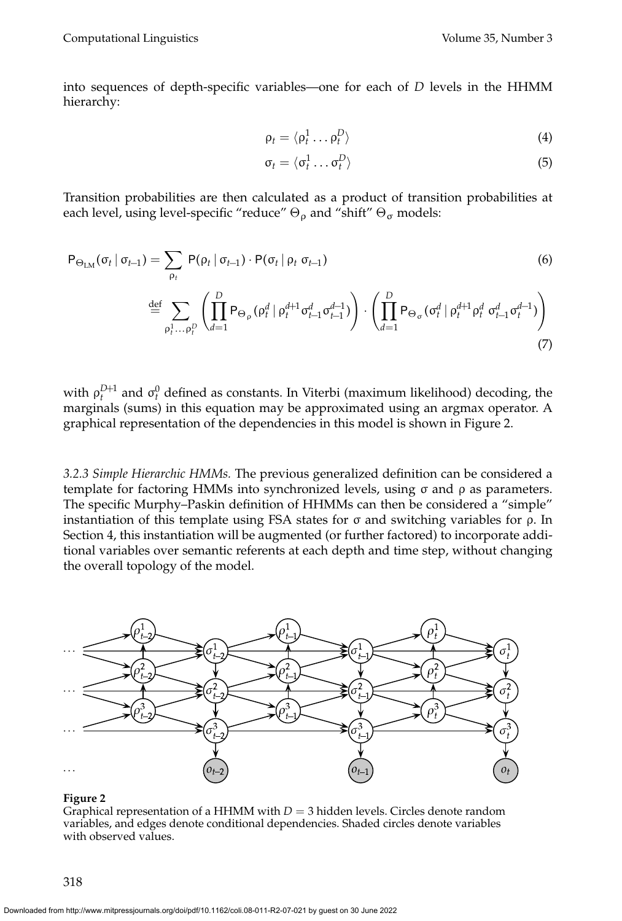into sequences of depth-specific variables—one for each of *D* levels in the HHMM hierarchy:

$$
\rho_t = \langle \rho_t^1 \dots \rho_t^D \rangle \tag{4}
$$

$$
\sigma_t = \langle \sigma_t^1 \dots \sigma_t^D \rangle \tag{5}
$$

Transition probabilities are then calculated as a product of transition probabilities at each level, using level-specific "reduce"  $\Theta_0$  and "shift"  $\Theta_{\sigma}$  models:

$$
P_{\Theta_{LM}}(\sigma_t | \sigma_{t-1}) = \sum_{\rho_t} P(\rho_t | \sigma_{t-1}) \cdot P(\sigma_t | \rho_t | \sigma_{t-1})
$$
\n
$$
\stackrel{\text{def}}{=} \sum_{\rho_t^1 \dots \rho_t^D} \left( \prod_{d=1}^D P_{\Theta_{\rho}}(\rho_t^d | \rho_t^{d+1} \sigma_{t-1}^d \sigma_{t-1}^{d-1}) \right) \cdot \left( \prod_{d=1}^D P_{\Theta_{\sigma}}(\sigma_t^d | \rho_t^{d+1} \rho_t^d \sigma_{t-1}^d \sigma_t^{d-1}) \right)
$$
\n(7)

with  $\rho_t^{D+1}$  and  $\sigma_t^0$  defined as constants. In Viterbi (maximum likelihood) decoding, the marginals (sums) in this equation may be approximated using an argmax operator. A graphical representation of the dependencies in this model is shown in Figure 2.

*3.2.3 Simple Hierarchic HMMs.* The previous generalized definition can be considered a template for factoring HMMs into synchronized levels, using  $σ$  and  $ρ$  as parameters. The specific Murphy–Paskin definition of HHMMs can then be considered a "simple" instantiation of this template using FSA states for σ and switching variables for ρ. In Section 4, this instantiation will be augmented (or further factored) to incorporate additional variables over semantic referents at each depth and time step, without changing the overall topology of the model.



#### **Figure 2**

Graphical representation of a HHMM with  $D = 3$  hidden levels. Circles denote random variables, and edges denote conditional dependencies. Shaded circles denote variables with observed values.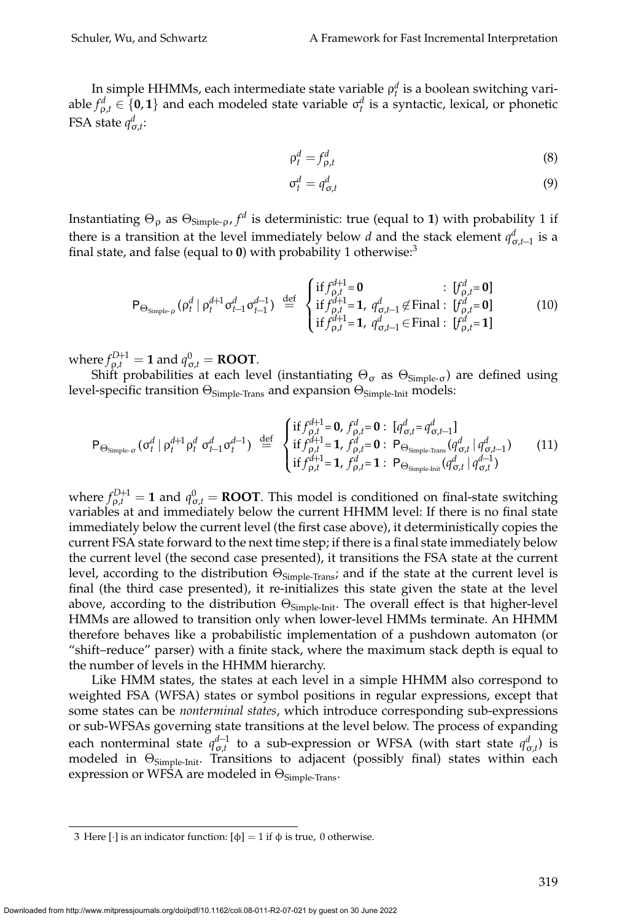In simple HHMMs, each intermediate state variable  $\rho_t^d$  is a boolean switching variable  $f_{\rho,t}^d \in \{\mathbf{0},\mathbf{1}\}$  and each modeled state variable  $\sigma_t^d$  is a syntactic, lexical, or phonetic FSA state *q<sup>d</sup>* <sup>σ</sup>,*t*:

$$
\rho_t^d = f_{\rho,t}^d \tag{8}
$$

$$
\sigma_t^d = q_{\sigma,t}^d \tag{9}
$$

Instantiating  $\Theta_{\rho}$  as  $\Theta_{Simple-\rho}$ ,  $f^d$  is deterministic: true (equal to 1) with probability 1 if there is a transition at the level immediately below *d* and the stack element  $q_{\sigma,t-1}^d$  is a final state, and false (equal to **0**) with probability 1 otherwise:<sup>3</sup>

$$
\mathsf{P}_{\Theta_{\text{Simple-p}}}(\rho_t^d \mid \rho_t^{d+1} \sigma_{t-1}^d \sigma_{t-1}^{d-1}) \stackrel{\text{def}}{=} \begin{cases} \text{if } f_{\rho,t}^{d+1} = \mathbf{0} & : [f_{\rho,t}^d = \mathbf{0}] \\ \text{if } f_{\rho,t}^{d+1} = \mathbf{1}, \ q_{\sigma,t-1}^d \notin \text{Final} : [f_{\rho,t}^d = \mathbf{0}] \\ \text{if } f_{\rho,t}^{d+1} = \mathbf{1}, \ q_{\sigma,t-1}^d \in \text{Final} : [f_{\rho,t}^d = \mathbf{1}] \end{cases} \tag{10}
$$

where  $f_{\rho,t}^{D+1} = \mathbf{1}$  and  $q_{\sigma,t}^0 = \text{ROOT}.$ 

Shift probabilities at each level (instantiating  $\Theta_\sigma$  as  $\Theta_{\sf Simple\text{-}\sigma})$  are defined using level-specific transition  $\Theta_{Simple\text{-}Trans}$  and expansion  $\Theta_{Simple\text{-}Init}$  models:

$$
\mathsf{P}_{\Theta_{\text{Simple-}\sigma}}(\sigma_t^d \mid \rho_t^{d+1} \rho_t^d \sigma_{t-1}^d \sigma_t^{d-1}) \stackrel{\text{def}}{=} \begin{cases} \text{if } f_{\rho,t}^{d+1} = \mathbf{0}, \ f_{\rho,t}^d = \mathbf{0} : [q_{\sigma,t}^d = q_{\sigma,t-1}^d] \\ \text{if } f_{\rho,t}^{d+1} = \mathbf{1}, \ f_{\rho,t}^d = \mathbf{0} : \ \mathsf{P}_{\Theta_{\text{Simple-Trans}}} (q_{\sigma,t}^d \mid q_{\sigma,t-1}^d) \\ \text{if } f_{\rho,t}^{d+1} = \mathbf{1}, \ f_{\rho,t}^d = \mathbf{1} : \ \mathsf{P}_{\Theta_{\text{Simple-Init}}} (q_{\sigma,t}^d \mid q_{\sigma,t-1}^{d-1}) \end{cases} \tag{11}
$$

where  $f_{\rho,t}^{D+1} = 1$  and  $q_{\sigma,t}^0 =$  **ROOT**. This model is conditioned on final-state switching variables at and immediately below the current HHMM level: If there is no final state immediately below the current level (the first case above), it deterministically copies the current FSA state forward to the next time step; if there is a final state immediately below the current level (the second case presented), it transitions the FSA state at the current level, according to the distribution  $\Theta_{Simple-Trans}$ ; and if the state at the current level is final (the third case presented), it re-initializes this state given the state at the level above, according to the distribution  $\Theta_{Simple\text{-}Init}$ . The overall effect is that higher-level HMMs are allowed to transition only when lower-level HMMs terminate. An HHMM therefore behaves like a probabilistic implementation of a pushdown automaton (or "shift–reduce" parser) with a finite stack, where the maximum stack depth is equal to the number of levels in the HHMM hierarchy.

Like HMM states, the states at each level in a simple HHMM also correspond to weighted FSA (WFSA) states or symbol positions in regular expressions, except that some states can be *nonterminal states*, which introduce corresponding sub-expressions or sub-WFSAs governing state transitions at the level below. The process of expanding each nonterminal state  $q_{\sigma,t}^{d-1}$  to a sub-expression or WFSA (with start state  $q_{\sigma,t}^{d}$ ) is modeled in  $\Theta_{SimpleInit}$ . Transitions to adjacent (possibly final) states within each expression or WFSA are modeled in  $\Theta_{Simple-Trans}$ .

<sup>3</sup> Here [·] is an indicator function:  $[\phi] = 1$  if  $\phi$  is true, 0 otherwise.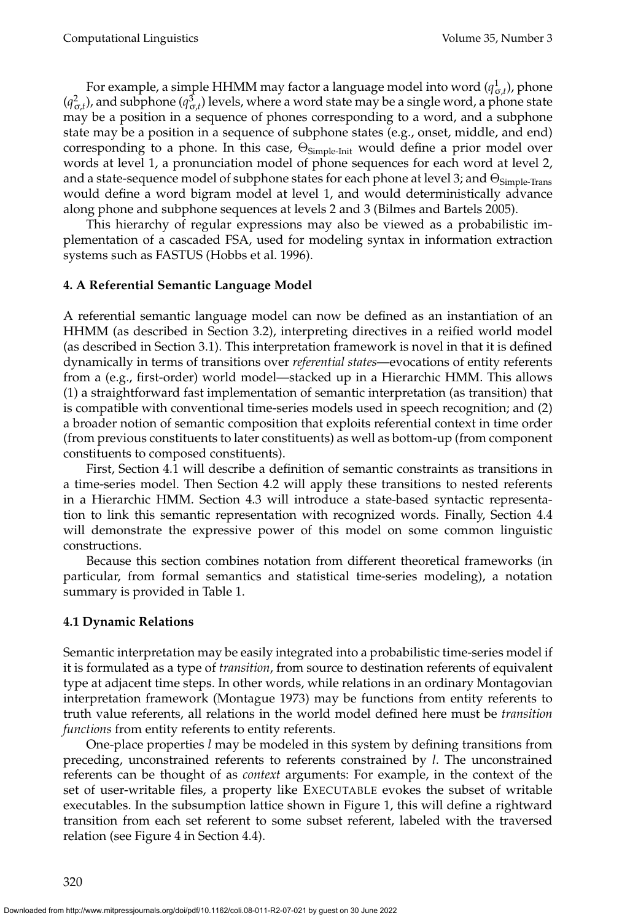For example, a simple HHMM may factor a language model into word  $(q_{\sigma,t}^1)$ , phone  $(q_{\sigma,t}^2)$ , and subphone  $(q_{\sigma,t}^3)$  levels, where a word state may be a single word, a phone state may be a position in a sequence of phones corresponding to a word, and a subphone state may be a position in a sequence of subphone states (e.g., onset, middle, and end) corresponding to a phone. In this case,  $\Theta_{Simple\text{-Init}}$  would define a prior model over words at level 1, a pronunciation model of phone sequences for each word at level 2, and a state-sequence model of subphone states for each phone at level 3; and  $\Theta_{Simple-Trans}$ would define a word bigram model at level 1, and would deterministically advance along phone and subphone sequences at levels 2 and 3 (Bilmes and Bartels 2005).

This hierarchy of regular expressions may also be viewed as a probabilistic implementation of a cascaded FSA, used for modeling syntax in information extraction systems such as FASTUS (Hobbs et al. 1996).

## **4. A Referential Semantic Language Model**

A referential semantic language model can now be defined as an instantiation of an HHMM (as described in Section 3.2), interpreting directives in a reified world model (as described in Section 3.1). This interpretation frameworkis novel in that it is defined dynamically in terms of transitions over *referential states*—evocations of entity referents from a (e.g., first-order) world model—stacked up in a Hierarchic HMM. This allows (1) a straightforward fast implementation of semantic interpretation (as transition) that is compatible with conventional time-series models used in speech recognition; and (2) a broader notion of semantic composition that exploits referential context in time order (from previous constituents to later constituents) as well as bottom-up (from component constituents to composed constituents).

First, Section 4.1 will describe a definition of semantic constraints as transitions in a time-series model. Then Section 4.2 will apply these transitions to nested referents in a Hierarchic HMM. Section 4.3 will introduce a state-based syntactic representation to link this semantic representation with recognized words. Finally, Section 4.4 will demonstrate the expressive power of this model on some common linguistic constructions.

Because this section combines notation from different theoretical frameworks (in particular, from formal semantics and statistical time-series modeling), a notation summary is provided in Table 1.

# **4.1 Dynamic Relations**

Semantic interpretation may be easily integrated into a probabilistic time-series model if it is formulated as a type of *transition*, from source to destination referents of equivalent type at adjacent time steps. In other words, while relations in an ordinary Montagovian interpretation framework(Montague 1973) may be functions from entity referents to truth value referents, all relations in the world model defined here must be *transition functions* from entity referents to entity referents.

One-place properties *l* may be modeled in this system by defining transitions from preceding, unconstrained referents to referents constrained by *l*. The unconstrained referents can be thought of as *context* arguments: For example, in the context of the set of user-writable files, a property like EXECUTABLE evokes the subset of writable executables. In the subsumption lattice shown in Figure 1, this will define a rightward transition from each set referent to some subset referent, labeled with the traversed relation (see Figure 4 in Section 4.4).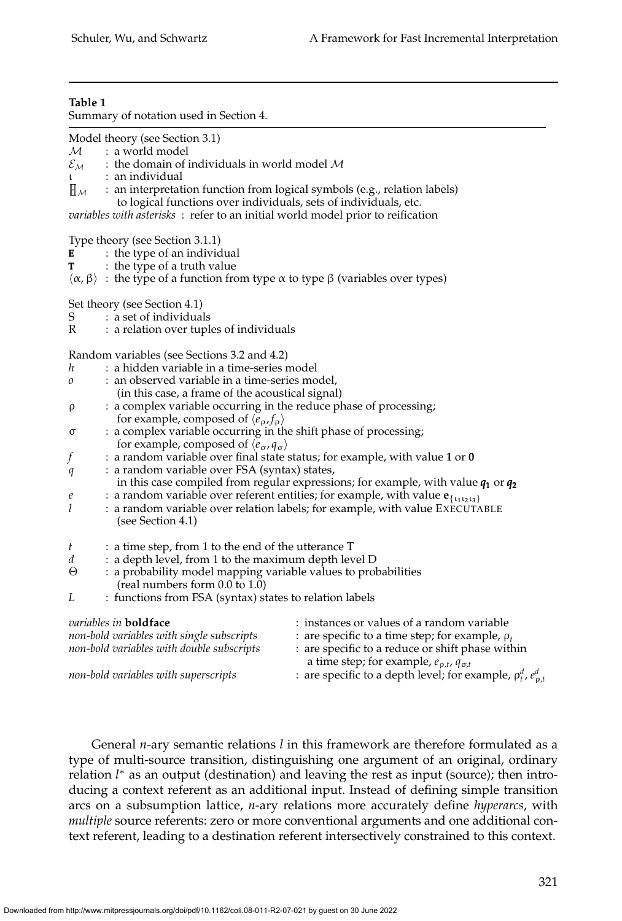## **Table 1**

Summary of notation used in Section 4.

|                             | Model theory (see Section 3.1)                                                                                     |                                                                                                                                                                                       |
|-----------------------------|--------------------------------------------------------------------------------------------------------------------|---------------------------------------------------------------------------------------------------------------------------------------------------------------------------------------|
| ${\cal M}$                  | : a world model                                                                                                    |                                                                                                                                                                                       |
| $\mathcal{E}_{\mathcal{M}}$ | : the domain of individuals in world model $M$                                                                     |                                                                                                                                                                                       |
| ι                           | : an individual                                                                                                    |                                                                                                                                                                                       |
| $\mathbb{H}_{\mathcal{M}}$  |                                                                                                                    | : an interpretation function from logical symbols (e.g., relation labels)                                                                                                             |
|                             | to logical functions over individuals, sets of individuals, etc.                                                   |                                                                                                                                                                                       |
|                             | <i>variables with asterisks</i> : refer to an initial world model prior to reification                             |                                                                                                                                                                                       |
|                             | Type theory (see Section 3.1.1)                                                                                    |                                                                                                                                                                                       |
| Е                           | : the type of an individual                                                                                        |                                                                                                                                                                                       |
| T                           | : the type of a truth value                                                                                        |                                                                                                                                                                                       |
|                             | $\langle \alpha, \beta \rangle$ : the type of a function from type $\alpha$ to type $\beta$ (variables over types) |                                                                                                                                                                                       |
|                             |                                                                                                                    |                                                                                                                                                                                       |
| S                           | Set theory (see Section 4.1)<br>: a set of individuals                                                             |                                                                                                                                                                                       |
| $\mathbb{R}$                | : a relation over tuples of individuals                                                                            |                                                                                                                                                                                       |
|                             |                                                                                                                    |                                                                                                                                                                                       |
|                             | Random variables (see Sections 3.2 and 4.2)                                                                        |                                                                                                                                                                                       |
| h                           | : a hidden variable in a time-series model                                                                         |                                                                                                                                                                                       |
| 0                           | : an observed variable in a time-series model,                                                                     |                                                                                                                                                                                       |
|                             | (in this case, a frame of the acoustical signal)                                                                   |                                                                                                                                                                                       |
| ρ                           | : a complex variable occurring in the reduce phase of processing;                                                  |                                                                                                                                                                                       |
|                             | for example, composed of $\langle e_{\rho}, f_{\rho} \rangle$                                                      |                                                                                                                                                                                       |
| σ                           | : a complex variable occurring in the shift phase of processing;                                                   |                                                                                                                                                                                       |
|                             | for example, composed of $\langle e_{\sigma}, q_{\sigma} \rangle$                                                  |                                                                                                                                                                                       |
| f                           |                                                                                                                    | : a random variable over final state status; for example, with value 1 or 0                                                                                                           |
| q                           | : a random variable over FSA (syntax) states,                                                                      |                                                                                                                                                                                       |
| е                           |                                                                                                                    | in this case compiled from regular expressions; for example, with value $q_1$ or $q_2$<br>: a random variable over referent entities; for example, with value $e_{\{t_1, t_2, t_3\}}$ |
| l                           |                                                                                                                    | : a random variable over relation labels; for example, with value EXECUTABLE                                                                                                          |
|                             | (see Section 4.1)                                                                                                  |                                                                                                                                                                                       |
|                             |                                                                                                                    |                                                                                                                                                                                       |
| t                           | : a time step, from 1 to the end of the utterance T                                                                |                                                                                                                                                                                       |
| d                           | : a depth level, from 1 to the maximum depth level D                                                               |                                                                                                                                                                                       |
| $\Theta$                    | : a probability model mapping variable values to probabilities                                                     |                                                                                                                                                                                       |
|                             | (real numbers form $0.0$ to $1.0$ )                                                                                |                                                                                                                                                                                       |
| L                           | : functions from FSA (syntax) states to relation labels                                                            |                                                                                                                                                                                       |
|                             | variables in <b>boldface</b>                                                                                       | : instances or values of a random variable                                                                                                                                            |
|                             | non-bold variables with single subscripts                                                                          | : are specific to a time step; for example, $\rho_t$                                                                                                                                  |
|                             | non-bold variables with double subscripts                                                                          | : are specific to a reduce or shift phase within                                                                                                                                      |
|                             |                                                                                                                    | a time step; for example, $e_{\rho,t}$ , $q_{\sigma,t}$                                                                                                                               |
|                             | non-bold variables with superscripts                                                                               | : are specific to a depth level; for example, $\rho_t^d$ , $e_{\rho,t}^d$                                                                                                             |
|                             |                                                                                                                    |                                                                                                                                                                                       |

General *n*-ary semantic relations *l* in this framework are therefore formulated as a type of multi-source transition, distinguishing one argument of an original, ordinary relation *l*<sup>∗</sup> as an output (destination) and leaving the rest as input (source); then introducing a context referent as an additional input. Instead of defining simple transition arcs on a subsumption lattice, *n*-ary relations more accurately define *hyperarcs*, with *multiple* source referents: zero or more conventional arguments and one additional context referent, leading to a destination referent intersectively constrained to this context.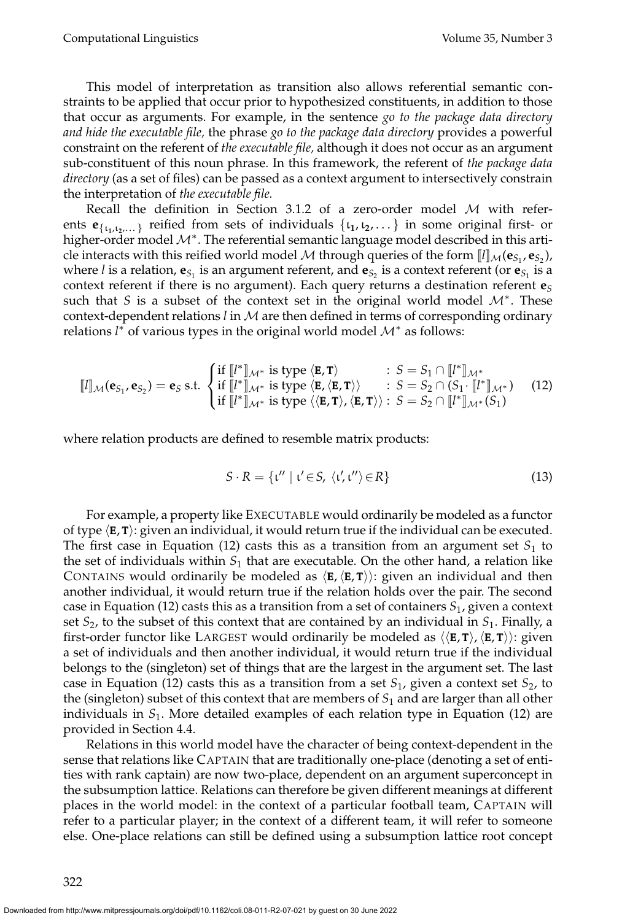This model of interpretation as transition also allows referential semantic constraints to be applied that occur prior to hypothesized constituents, in addition to those that occur as arguments. For example, in the sentence *go to the package data directory and hide the executable file,* the phrase *go to the package data directory* provides a powerful constraint on the referent of *the executable file,* although it does not occur as an argument sub-constituent of this noun phrase. In this framework, the referent of *the package data directory* (as a set of files) can be passed as a context argument to intersectively constrain the interpretation of *the executable file.*

Recall the definition in Section 3.1.2 of a zero-order model M with referents  $e_{\{t_1, t_2,...\}}$  reified from sets of individuals  $\{t_1, t_2,...\}$  in some original first- or higher-order model  $M^*$ . The referential semantic language model described in this article interacts with this reified world model  $M$  through queries of the form  $\llbracket l \rrbracket_{\mathcal{M}}( \mathbf{e}_{S_1}, \mathbf{e}_{S_2})$ , where *l* is a relation,  $\mathbf{e}_{S_1}$  is an argument referent, and  $\mathbf{e}_{S_2}$  is a context referent (or  $\mathbf{e}_{S_1}$  is a context referent if there is no argument). Each query returns a destination referent  $\mathbf{e}_S$ such that *S* is a subset of the context set in the original world model  $M^*$ . These context-dependent relations *l* in M are then defined in terms of corresponding ordinary relations *l*<sup>∗</sup> of various types in the original world model  $\mathcal{M}^*$  as follows:

$$
\llbracket l \rrbracket_{\mathcal{M}}(\mathbf{e}_{S_1}, \mathbf{e}_{S_2}) = \mathbf{e}_S \text{ s.t. } \begin{cases} \text{if } \llbracket l^* \rrbracket_{\mathcal{M}^*} \text{ is type } \langle \mathbf{E}, \mathbf{T} \rangle & : S = S_1 \cap \llbracket l^* \rrbracket_{\mathcal{M}^*} \\ \text{if } \llbracket l^* \rrbracket_{\mathcal{M}^*} \text{ is type } \langle \mathbf{E}, \langle \mathbf{E}, \mathbf{T} \rangle \rangle & : S = S_2 \cap (S_1 \cdot \llbracket l^* \rrbracket_{\mathcal{M}^*}) \\ \text{if } \llbracket l^* \rrbracket_{\mathcal{M}^*} \text{ is type } \langle \langle \mathbf{E}, \mathbf{T} \rangle, \langle \mathbf{E}, \mathbf{T} \rangle \rangle : S = S_2 \cap \llbracket l^* \rrbracket_{\mathcal{M}^*}(\mathcal{S}_1) \end{cases} \tag{12}
$$

where relation products are defined to resemble matrix products:

$$
S \cdot R = \{ \mathfrak{t}'' \mid \mathfrak{t}' \in S, \ \langle \mathfrak{t}', \mathfrak{t}'' \rangle \in R \}
$$
 (13)

For example, a property like EXECUTABLE would ordinarily be modeled as a functor of type  $\langle \mathbf{E}, \mathbf{T} \rangle$ : given an individual, it would return true if the individual can be executed. The first case in Equation (12) casts this as a transition from an argument set  $S_1$  to the set of individuals within  $S_1$  that are executable. On the other hand, a relation like CONTAINS would ordinarily be modeled as  $\langle E, \langle E, \Gamma \rangle \rangle$ : given an individual and then another individual, it would return true if the relation holds over the pair. The second case in Equation (12) casts this as a transition from a set of containers *S*1, given a context set *S*2, to the subset of this context that are contained by an individual in *S*1. Finally, a first-order functor like LARGEST would ordinarily be modeled as  $\langle \langle \mathbf{E}, \mathbf{T} \rangle$ ,  $\langle \mathbf{E}, \mathbf{T} \rangle$ : given a set of individuals and then another individual, it would return true if the individual belongs to the (singleton) set of things that are the largest in the argument set. The last case in Equation (12) casts this as a transition from a set  $S_1$ , given a context set  $S_2$ , to the (singleton) subset of this context that are members of *S*<sup>1</sup> and are larger than all other individuals in *S*1. More detailed examples of each relation type in Equation (12) are provided in Section 4.4.

Relations in this world model have the character of being context-dependent in the sense that relations like CAPTAIN that are traditionally one-place (denoting a set of entities with rank captain) are now two-place, dependent on an argument superconcept in the subsumption lattice. Relations can therefore be given different meanings at different places in the world model: in the context of a particular football team, CAPTAIN will refer to a particular player; in the context of a different team, it will refer to someone else. One-place relations can still be defined using a subsumption lattice root concept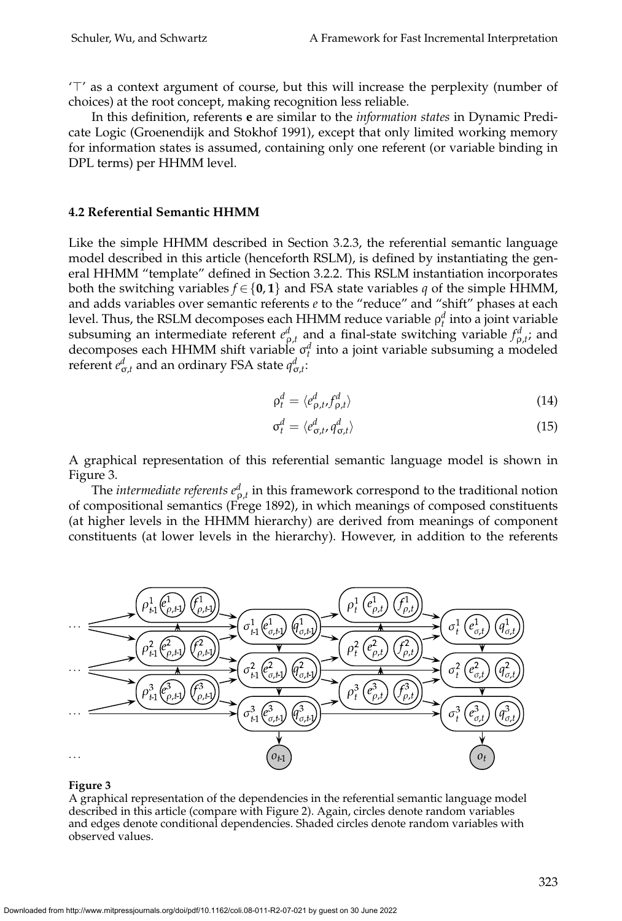$T'$  as a context argument of course, but this will increase the perplexity (number of choices) at the root concept, making recognition less reliable.

In this definition, referents **e** are similar to the *information states* in Dynamic Predicate Logic (Groenendijk and Stokhof 1991), except that only limited working memory for information states is assumed, containing only one referent (or variable binding in DPL terms) per HHMM level.

## **4.2 Referential Semantic HHMM**

Like the simple HHMM described in Section 3.2.3, the referential semantic language model described in this article (henceforth RSLM), is defined by instantiating the general HHMM "template" defined in Section 3.2.2. This RSLM instantiation incorporates both the switching variables  $f \in \{0, 1\}$  and FSA state variables *q* of the simple HHMM, and adds variables over semantic referents *e* to the "reduce" and "shift" phases at each level. Thus, the RSLM decomposes each HHMM reduce variable  $\rho_t^d$  into a joint variable subsuming an intermediate referent  $e^d_{\rho,t}$  and a final-state switching variable  $f^d_{\rho,t}$ ; and decomposes each HHMM shift variable σ*<sup>d</sup> <sup>t</sup>* into a joint variable subsuming a modeled referent  $e^d_{\sigma,t}$  and an ordinary FSA state  $q^d_{\sigma,t}$ :

$$
\rho_t^d = \langle e_{\rho,t}^d, f_{\rho,t}^d \rangle \tag{14}
$$

$$
\sigma_t^d = \langle e_{\sigma,t}^d, q_{\sigma,t}^d \rangle \tag{15}
$$

A graphical representation of this referential semantic language model is shown in Figure 3.

The *intermediate referents*  $e^d_{p,t}$  in this framework correspond to the traditional notion of compositional semantics (Frege 1892), in which meanings of composed constituents (at higher levels in the HHMM hierarchy) are derived from meanings of component constituents (at lower levels in the hierarchy). However, in addition to the referents



## **Figure 3**

A graphical representation of the dependencies in the referential semantic language model described in this article (compare with Figure 2). Again, circles denote random variables and edges denote conditional dependencies. Shaded circles denote random variables with observed values.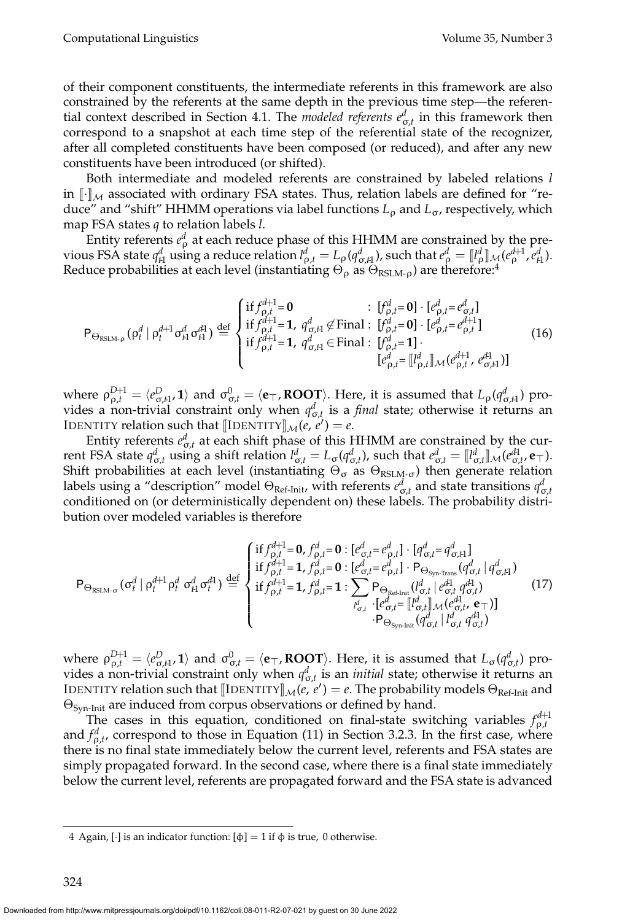of their component constituents, the intermediate referents in this frameworkare also constrained by the referents at the same depth in the previous time step—the referential context described in Section 4.1. The *modeled referents*  $e_{\sigma,t}^d$  in this framework then correspond to a snapshot at each time step of the referential state of the recognizer, after all completed constituents have been composed (or reduced), and after any new constituents have been introduced (or shifted).

Both intermediate and modeled referents are constrained by labeled relations *l* in  $\llbracket \cdot \rrbracket_{\mathcal{M}}$  associated with ordinary FSA states. Thus, relation labels are defined for "reduce" and "shift" HHMM operations via label functions *L*<sup>ρ</sup> and *L*σ, respectively, which map FSA states *q* to relation labels *l*.

Entity referents  $e^d$ <sub> $\rho$ </sub> at each reduce phase of this HHMM are constrained by the previous FSA state  $q_{H}^d$  using a reduce relation  $l_{\rho,t}^d = L_{\rho}(q_{\sigma,t}^d)$ , such that  $e_{\rho}^d = [l_{\rho}^d]_M (e_{\rho}^{d+1}, e_{H}^d)$ . Reduce probabilities at each level (instantiating  $\Theta_\rho$  as  $\Theta_{\rm RSLM\text{-}\rho}$ ) are therefore:<sup>4</sup>

$$
\mathsf{P}_{\Theta_{\text{RSLM-}p}}(\rho_t^d \mid \rho_t^{d+1} \sigma_{t1}^d \sigma_{t1}^{d1}) \stackrel{\text{def}}{=} \begin{cases} \text{if } f_{\rho,t}^{d+1} = \mathbf{0} & : \ [f_{\rho,t}^d = \mathbf{0}] \cdot [e_{\rho,t}^d = e_{\sigma,t}^d] \\ \text{if } f_{\rho,t}^{d+1} = \mathbf{1}, \ q_{\sigma,t1}^d \in \text{Final} : \ [f_{\rho,t}^d = \mathbf{0}] \cdot [e_{\rho,t}^d = e_{\rho,t}^{d+1}] \\ \text{if } f_{\rho,t}^{d+1} = \mathbf{1}, \ q_{\sigma,t1}^d \in \text{Final} : \ [f_{\rho,t}^d = \mathbf{1}] \cdot \\ [e_{\rho,t}^d = [I_{\rho,t}^d] \mathcal{M}(e_{\rho,t}^{d+1}, e_{\sigma,t1}^{d1})] \end{cases} \tag{16}
$$

where  $\rho_{\rho,t}^{D+1} = \langle e_{\sigma,t}^D, \mathbf{1} \rangle$  and  $\sigma_{\sigma,t}^0 = \langle \mathbf{e}_{\top}, \mathbf{ROOT} \rangle$ . Here, it is assumed that  $L_{\rho}(q_{\sigma,t}^d)$  provides a non-trivial constraint only when  $q_{\sigma,t}^d$  is a *final* state; otherwise it returns an IDENTITY relation such that  $\llbracket \text{IDENTIFY} \rrbracket_{\mathcal{M}}(e, e') = e$ .

Entity referents  $e_{\sigma,t}^d$  at each shift phase of this HHMM are constrained by the current FSA state  $q_{\sigma,t}^d$  using a shift relation  $l_{\sigma,t}^d = L_\sigma(q_{\sigma,t}^d)$ , such that  $e_{\sigma,t}^d = [l_{\sigma,t}^d]_\mathcal{M}(e_{\sigma,t}^{d1}, \mathbf{e}_\top)$ . Shift probabilities at each level (instantiating  $\Theta_\sigma$  as  $\Theta_{\rm RSLM\text{-}\sigma}$ ) then generate relation labels using a "description" model  $\Theta_{\rm Ref\text{-}Init}$ , with referents  $e^d_{\sigma,t}$  and state transitions  $q^d_{\sigma,t}$ conditioned on (or deterministically dependent on) these labels. The probability distribution over modeled variables is therefore

$$
P_{\Theta_{RSLM\text{-}\sigma}}(o_t^d \mid \rho_t^{d+1}o_t^d \ o_{H}^d o_{H}^{d}) \stackrel{\text{def}}{=} \begin{cases} \text{if } f_{\rho,t}^{d+1} = 0, f_{\rho,t}^d = 0 : [e_{\sigma,t}^d = e_{\rho,t}^d] \cdot [q_{\sigma,t}^d = q_{\sigma,H}^d] \\ \text{if } f_{\rho,t}^{d+1} = 1, f_{\rho,t}^d = 0 : [e_{\sigma,t}^d = e_{\rho,t}^d] \cdot P_{\Theta_{\text{Syn-Trans}}} (q_{\sigma,t}^d \mid q_{\sigma,t}^d) \\ \text{if } f_{\rho,t}^{d+1} = 1, f_{\rho,t}^d = 1 : \sum_{l_{\sigma,t}^d} P_{\Theta_{\text{Ref-int}}} (l_{\sigma,t}^d \mid e_{\sigma,t}^{d+1} q_{\sigma,t}^d) \\ & \cdot [e_{\sigma,t}^d = [l_{\sigma,t}^d]_{\mathcal{M}}(e_{\sigma,t}^{d+1} \mathbf{e}_{\tau})] \\ & \cdot P_{\Theta_{\text{Syn-Init}}} (q_{\sigma,t}^d \mid l_{\sigma,t}^d q_{\sigma,t}^d) \end{cases} \tag{17}
$$

where  $\rho_{\rho,t}^{D+1} = \langle e_{\sigma,H}^D, \mathbf{1} \rangle$  and  $\sigma_{\sigma,t}^0 = \langle \mathbf{e}_{\top}, \mathbf{ROOT} \rangle$ . Here, it is assumed that  $L_{\sigma}(q_{\sigma,t}^d)$  provides a non-trivial constraint only when *q<sup>d</sup>* <sup>σ</sup>,*<sup>t</sup>* is an *initial* state; otherwise it returns an  $\text{IDENTIFY}$  relation such that  $\llbracket \text{IDENTIFY} \rrbracket_{\mathcal{M}}(e,e') = e.$  The probability models  $\Theta_{\text{Ref-Init}}$  and  $\Theta_{Syn\text{-Init}}$  are induced from corpus observations or defined by hand.

The cases in this equation, conditioned on final-state switching variables  $f_{\rho,t}^{d+1}$ and  $f_{\rho,t}^d$ , correspond to those in Equation (11) in Section 3.2.3. In the first case, where there is no final state immediately below the current level, referents and FSA states are simply propagated forward. In the second case, where there is a final state immediately below the current level, referents are propagated forward and the FSA state is advanced

<sup>4</sup> Again, [·] is an indicator function:  $[\phi] = 1$  if  $\phi$  is true, 0 otherwise.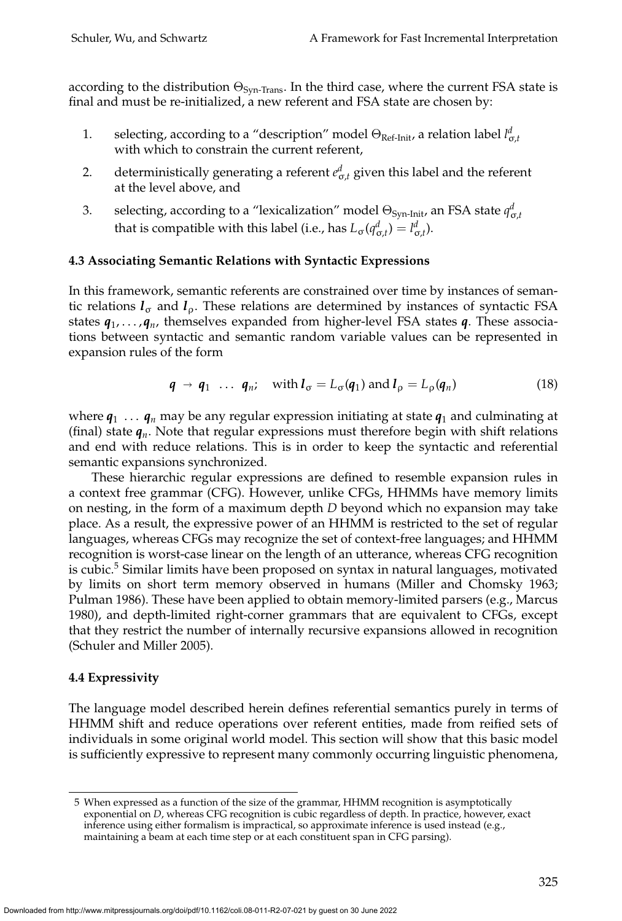according to the distribution  $\Theta_{Syn\text{-Trans}}$ . In the third case, where the current FSA state is final and must be re-initialized, a new referent and FSA state are chosen by:

- 1. selecting, according to a "description" model  $\Theta_{\text{Ref-Init}}$ , a relation label  $l_{\sigma,t}^d$ with which to constrain the current referent,
- 2. deterministically generating a referent *e<sup>d</sup>* <sup>σ</sup>,*<sup>t</sup>* given this label and the referent at the level above, and
- 3. selecting, according to a "lexicalization" model  $\Theta_{\text{Syn-Init}}$ , an FSA state  $q_{\sigma,t}^d$ that is compatible with this label (i.e., has  $L_{\sigma}(q_{\sigma,t}^d) = l_{\sigma,t}^d$ ).

# **4.3 Associating Semantic Relations with Syntactic Expressions**

In this framework, semantic referents are constrained over time by instances of semantic relations  $l_{\sigma}$  and  $l_{\rho}$ . These relations are determined by instances of syntactic FSA states *q*1, ... , *qn*, themselves expanded from higher-level FSA states *q*. These associations between syntactic and semantic random variable values can be represented in expansion rules of the form

$$
\mathbf{q} \rightarrow \mathbf{q}_1 \ \ldots \ \mathbf{q}_n; \quad \text{with } l_\sigma = L_\sigma(\mathbf{q}_1) \text{ and } l_\rho = L_\rho(\mathbf{q}_n) \tag{18}
$$

where  $q_1 \ldots q_n$  may be any regular expression initiating at state  $q_1$  and culminating at (final) state *qn*. Note that regular expressions must therefore begin with shift relations and end with reduce relations. This is in order to keep the syntactic and referential semantic expansions synchronized.

These hierarchic regular expressions are defined to resemble expansion rules in a context free grammar (CFG). However, unlike CFGs, HHMMs have memory limits on nesting, in the form of a maximum depth *D* beyond which no expansion may take place. As a result, the expressive power of an HHMM is restricted to the set of regular languages, whereas CFGs may recognize the set of context-free languages; and HHMM recognition is worst-case linear on the length of an utterance, whereas CFG recognition is cubic.<sup>5</sup> Similar limits have been proposed on syntax in natural languages, motivated by limits on short term memory observed in humans (Miller and Chomsky 1963; Pulman 1986). These have been applied to obtain memory-limited parsers (e.g., Marcus 1980), and depth-limited right-corner grammars that are equivalent to CFGs, except that they restrict the number of internally recursive expansions allowed in recognition (Schuler and Miller 2005).

# **4.4 Expressivity**

The language model described herein defines referential semantics purely in terms of HHMM shift and reduce operations over referent entities, made from reified sets of individuals in some original world model. This section will show that this basic model is sufficiently expressive to represent many commonly occurring linguistic phenomena,

<sup>5</sup> When expressed as a function of the size of the grammar, HHMM recognition is asymptotically exponential on *D*, whereas CFG recognition is cubic regardless of depth. In practice, however, exact inference using either formalism is impractical, so approximate inference is used instead (e.g., maintaining a beam at each time step or at each constituent span in CFG parsing).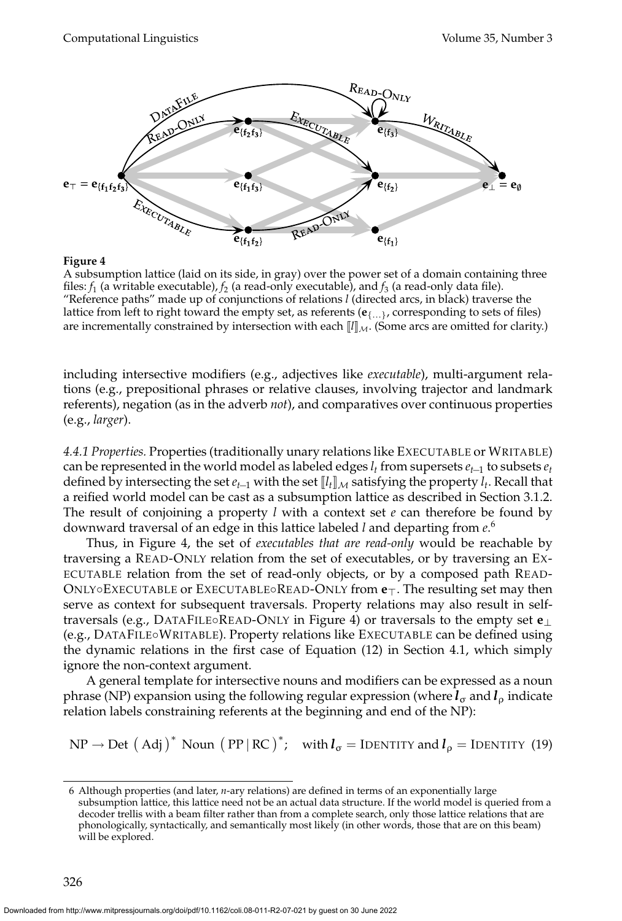

## **Figure 4**

A subsumption lattice (laid on its side, in gray) over the power set of a domain containing three files:  $f_1$  (a writable executable),  $f_2$  (a read-only executable), and  $f_3$  (a read-only data file). "Reference paths" made up of conjunctions of relations *l* (directed arcs, in black) traverse the lattice from left to right toward the empty set, as referents (**e**{...}, corresponding to sets of files) are incrementally constrained by intersection with each  $\llbracket l \rrbracket_{\mathcal{M}}$ . (Some arcs are omitted for clarity.)

including intersective modifiers (e.g., adjectives like *executable*), multi-argument relations (e.g., prepositional phrases or relative clauses, involving trajector and landmark referents), negation (as in the adverb *not*), and comparatives over continuous properties (e.g., *larger*).

*4.4.1 Properties.* Properties (traditionally unary relations like EXECUTABLE or WRITABLE) can be represented in the world model as labeled edges  $l_t$  from supersets  $e_{t-1}$  to subsets  $e_t$ defined by intersecting the set  $e_{t-1}$  with the set  $\llbracket l_t \rrbracket_{\mathcal{M}}$  satisfying the property  $l_t$ . Recall that a reified world model can be cast as a subsumption lattice as described in Section 3.1.2. The result of conjoining a property *l* with a context set *e* can therefore be found by downward traversal of an edge in this lattice labeled *l* and departing from *e*. 6

Thus, in Figure 4, the set of *executables that are read-only* would be reachable by traversing a READ-ONLY relation from the set of executables, or by traversing an EX-ECUTABLE relation from the set of read-only objects, or by a composed path READ-ONLY∘EXECUTABLE or EXECUTABLE∘READ-ONLY from **e**<sub>T</sub>. The resulting set may then serve as context for subsequent traversals. Property relations may also result in selftraversals (e.g., DATAFILE◦READ-ONLY in Figure 4) or traversals to the empty set **e**<sup>⊥</sup> (e.g., DATAFILE◦WRITABLE). Property relations like EXECUTABLE can be defined using the dynamic relations in the first case of Equation (12) in Section 4.1, which simply ignore the non-context argument.

A general template for intersective nouns and modifiers can be expressed as a noun phrase (NP) expansion using the following regular expression (where  $l_{\sigma}$  and  $l_{\rho}$  indicate relation labels constraining referents at the beginning and end of the NP):

 $NP \rightarrow Det (Adj)^*$  Noun  $(PP | RC)^*$ ; with  $l_\sigma =$  IDENTITY and  $l_\rho =$  IDENTITY (19)

<sup>6</sup> Although properties (and later, *n*-ary relations) are defined in terms of an exponentially large subsumption lattice, this lattice need not be an actual data structure. If the world model is queried from a decoder trellis with a beam filter rather than from a complete search, only those lattice relations that are phonologically, syntactically, and semantically most likely (in other words, those that are on this beam) will be explored.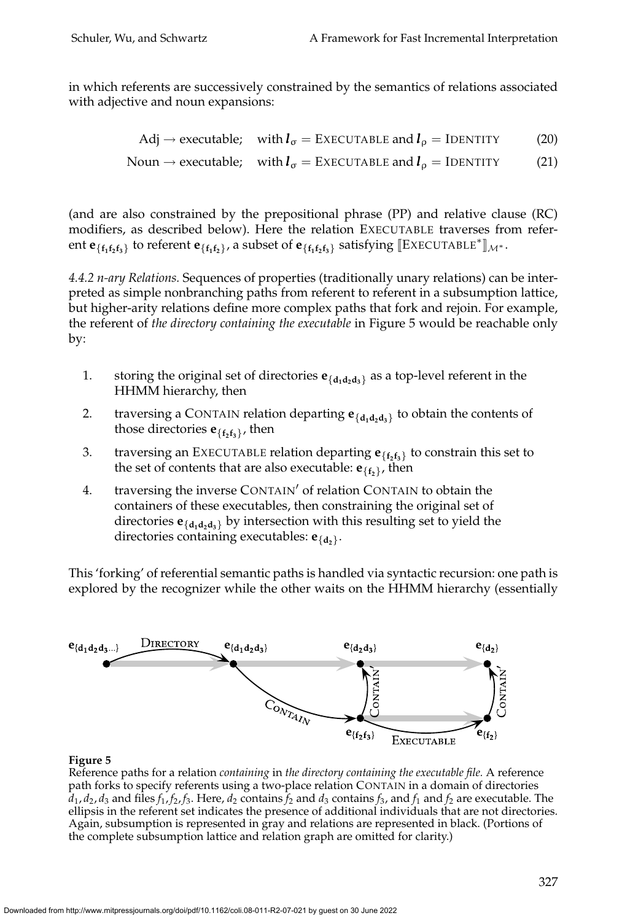in which referents are successively constrained by the semantics of relations associated with adjective and noun expansions:

Adj 
$$
\rightarrow
$$
 executable; with  $l_{\sigma} =$  EXECUTABLE and  $l_{\rho} =$  IDENTITY (20)

Now 
$$
\rightarrow
$$
 executable; with  $l_{\sigma}$  = EXECUTABLE and  $l_{\rho}$  = IDENTITY (21)

(and are also constrained by the prepositional phrase (PP) and relative clause (RC) modifiers, as described below). Here the relation EXECUTABLE traverses from referent  $e_{\{f_1f_2f_3\}}$  to referent  $e_{\{f_1f_2\}}$ , a subset of  $e_{\{f_1f_2f_3\}}$  satisfying  $\llbracket$ EXECUTABLE<sup>∗</sup> $\rrbracket_{\mathcal{M}^*}$ .

*4.4.2 n-ary Relations.* Sequences of properties (traditionally unary relations) can be interpreted as simple nonbranching paths from referent to referent in a subsumption lattice, but higher-arity relations define more complex paths that forkand rejoin. For example, the referent of *the directory containing the executable* in Figure 5 would be reachable only by:

- 1. storing the original set of directories  $e_{\{d_1d_2d_3\}}$  as a top-level referent in the HHMM hierarchy, then
- 2. traversing a CONTAIN relation departing  $e_{\{d_1d_2d_3\}}$  to obtain the contents of those directories  $e_{\{f_2f_3\}}$ , then
- 3. traversing an EXECUTABLE relation departing  $e_{\{f_2f_3\}}$  to constrain this set to the set of contents that are also executable:  $e_{\{f_2\}}$ , then
- 4. traversing the inverse CONTAIN' of relation CONTAIN to obtain the containers of these executables, then constraining the original set of directories  $e_{\{d_1d_2d_3\}}$  by intersection with this resulting set to yield the directories containing executables:  $e_{\{d_2\}}$ .

This 'forking' of referential semantic paths is handled via syntactic recursion: one path is explored by the recognizer while the other waits on the HHMM hierarchy (essentially



# **Figure 5**

Reference paths for a relation *containing* in *the directory containing the executable file.* A reference path forks to specify referents using a two-place relation CONTAIN in a domain of directories  $d_1$ ,  $d_2$ ,  $d_3$  and files  $f_1$ ,  $f_2$ ,  $f_3$ . Here,  $d_2$  contains  $f_2$  and  $d_3$  contains  $f_3$ , and  $f_1$  and  $f_2$  are executable. The ellipsis in the referent set indicates the presence of additional individuals that are not directories. Again, subsumption is represented in gray and relations are represented in black. (Portions of the complete subsumption lattice and relation graph are omitted for clarity.)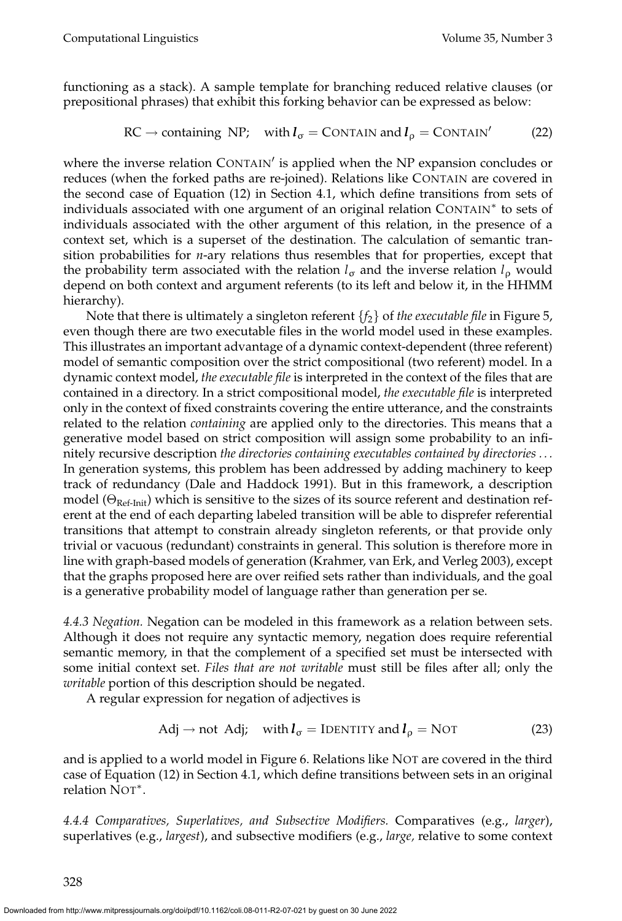functioning as a stack). A sample template for branching reduced relative clauses (or prepositional phrases) that exhibit this forking behavior can be expressed as below:

$$
RC \rightarrow
$$
 containing NP; with  $l_{\sigma} =$  CONTAIN and  $l_{\rho} =$  CONTAIN' (22)

where the inverse relation CONTAIN' is applied when the NP expansion concludes or reduces (when the forked paths are re-joined). Relations like CONTAIN are covered in the second case of Equation (12) in Section 4.1, which define transitions from sets of individuals associated with one argument of an original relation CONTAIN<sup>∗</sup> to sets of individuals associated with the other argument of this relation, in the presence of a context set, which is a superset of the destination. The calculation of semantic transition probabilities for *n*-ary relations thus resembles that for properties, except that the probability term associated with the relation  $l_{\sigma}$  and the inverse relation  $l_{\rho}$  would depend on both context and argument referents (to its left and below it, in the HHMM hierarchy).

Note that there is ultimately a singleton referent {*f*2} of *the executable file* in Figure 5, even though there are two executable files in the world model used in these examples. This illustrates an important advantage of a dynamic context-dependent (three referent) model of semantic composition over the strict compositional (two referent) model. In a dynamic context model, *the executable file* is interpreted in the context of the files that are contained in a directory. In a strict compositional model, *the executable file* is interpreted only in the context of fixed constraints covering the entire utterance, and the constraints related to the relation *containing* are applied only to the directories. This means that a generative model based on strict composition will assign some probability to an infinitely recursive description *the directories containing executables contained by directories . . .* In generation systems, this problem has been addressed by adding machinery to keep track of redundancy (Dale and Haddock 1991). But in this framework, a description model ( $\Theta_{\text{Ref-Init}}$ ) which is sensitive to the sizes of its source referent and destination referent at the end of each departing labeled transition will be able to disprefer referential transitions that attempt to constrain already singleton referents, or that provide only trivial or vacuous (redundant) constraints in general. This solution is therefore more in line with graph-based models of generation (Krahmer, van Erk, and Verleg 2003), except that the graphs proposed here are over reified sets rather than individuals, and the goal is a generative probability model of language rather than generation per se.

*4.4.3 Negation.* Negation can be modeled in this frameworkas a relation between sets. Although it does not require any syntactic memory, negation does require referential semantic memory, in that the complement of a specified set must be intersected with some initial context set. *Files that are not writable* must still be files after all; only the *writable* portion of this description should be negated.

A regular expression for negation of adjectives is

$$
Adj \rightarrow not Adj; \quad with l_{\sigma} = IDENTITY \text{ and } l_{\rho} = NOT \tag{23}
$$

and is applied to a world model in Figure 6. Relations like NOT are covered in the third case of Equation (12) in Section 4.1, which define transitions between sets in an original relation NOT∗.

*4.4.4 Comparatives, Superlatives, and Subsective Modifiers.* Comparatives (e.g., *larger*), superlatives (e.g., *largest*), and subsective modifiers (e.g., *large,* relative to some context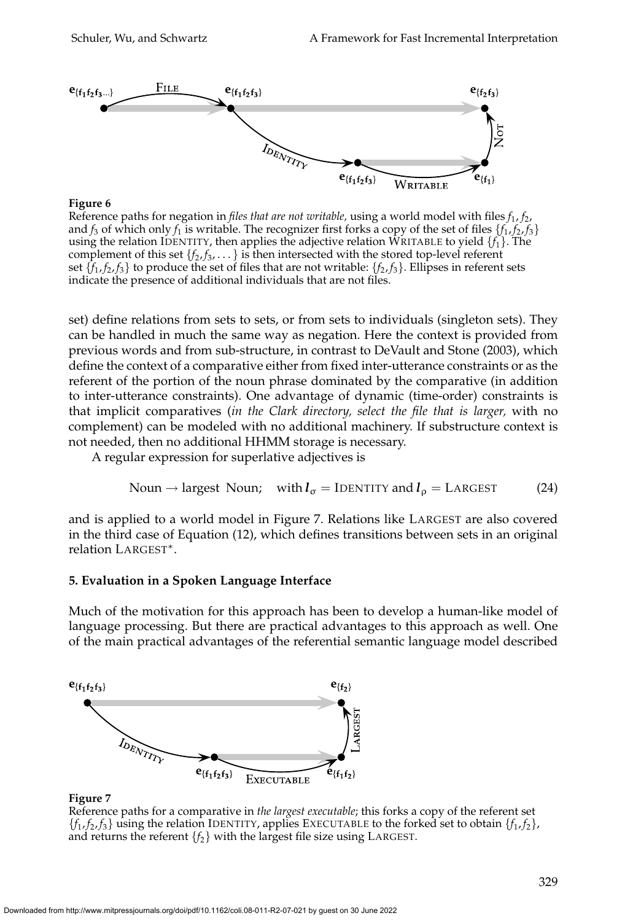

## **Figure 6**

Reference paths for negation in *files that are not writable,* using a world model with files *f*1, *f*2, and  $f_3$  of which only  $f_1$  is writable. The recognizer first forks a copy of the set of files  $\{f_1, f_2, f_3\}$ using the relation IDENTITY, then applies the adjective relation WRITABLE to yield {*f*1}. The complement of this set  $\{f_2, f_3, \dots\}$  is then intersected with the stored top-level referent set  $\{f_1, f_2, f_3\}$  to produce the set of files that are not writable:  $\{f_2, f_3\}$ . Ellipses in referent sets indicate the presence of additional individuals that are not files.

set) define relations from sets to sets, or from sets to individuals (singleton sets). They can be handled in much the same way as negation. Here the context is provided from previous words and from sub-structure, in contrast to DeVault and Stone (2003), which define the context of a comparative either from fixed inter-utterance constraints or as the referent of the portion of the noun phrase dominated by the comparative (in addition to inter-utterance constraints). One advantage of dynamic (time-order) constraints is that implicit comparatives (*in the Clark directory, select the file that is larger,* with no complement) can be modeled with no additional machinery. If substructure context is not needed, then no additional HHMM storage is necessary.

A regular expression for superlative adjectives is

Now 
$$
\rightarrow
$$
 largest Noun; with  $l_{\sigma}$  = IDENTITY and  $l_{\rho}$  = LARGEST (24)

and is applied to a world model in Figure 7. Relations like LARGEST are also covered in the third case of Equation (12), which defines transitions between sets in an original relation LARGEST∗.

## **5. Evaluation in a Spoken Language Interface**

Much of the motivation for this approach has been to develop a human-like model of language processing. But there are practical advantages to this approach as well. One of the main practical advantages of the referential semantic language model described



#### **Figure 7**

Reference paths for a comparative in *the largest executable*; this forks a copy of the referent set  ${f_1, f_2, f_3}$  using the relation IDENTITY, applies EXECUTABLE to the forked set to obtain  ${f_1, f_2}$ , and returns the referent  $\{f_2\}$  with the largest file size using LARGEST.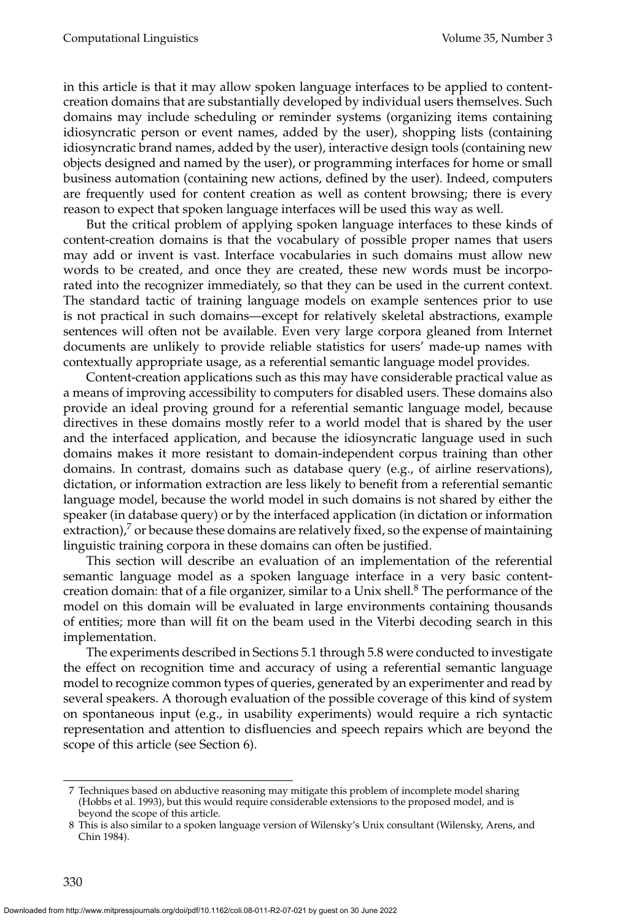in this article is that it may allow spoken language interfaces to be applied to contentcreation domains that are substantially developed by individual users themselves. Such domains may include scheduling or reminder systems (organizing items containing idiosyncratic person or event names, added by the user), shopping lists (containing idiosyncratic brand names, added by the user), interactive design tools (containing new objects designed and named by the user), or programming interfaces for home or small business automation (containing new actions, defined by the user). Indeed, computers are frequently used for content creation as well as content browsing; there is every reason to expect that spoken language interfaces will be used this way as well.

But the critical problem of applying spoken language interfaces to these kinds of content-creation domains is that the vocabulary of possible proper names that users may add or invent is vast. Interface vocabularies in such domains must allow new words to be created, and once they are created, these new words must be incorporated into the recognizer immediately, so that they can be used in the current context. The standard tactic of training language models on example sentences prior to use is not practical in such domains—except for relatively skeletal abstractions, example sentences will often not be available. Even very large corpora gleaned from Internet documents are unlikely to provide reliable statistics for users' made-up names with contextually appropriate usage, as a referential semantic language model provides.

Content-creation applications such as this may have considerable practical value as a means of improving accessibility to computers for disabled users. These domains also provide an ideal proving ground for a referential semantic language model, because directives in these domains mostly refer to a world model that is shared by the user and the interfaced application, and because the idiosyncratic language used in such domains makes it more resistant to domain-independent corpus training than other domains. In contrast, domains such as database query (e.g., of airline reservations), dictation, or information extraction are less likely to benefit from a referential semantic language model, because the world model in such domains is not shared by either the speaker (in database query) or by the interfaced application (in dictation or information extraction), $\frac{7}{7}$  or because these domains are relatively fixed, so the expense of maintaining linguistic training corpora in these domains can often be justified.

This section will describe an evaluation of an implementation of the referential semantic language model as a spoken language interface in a very basic contentcreation domain: that of a file organizer, similar to a Unix shell.<sup>8</sup> The performance of the model on this domain will be evaluated in large environments containing thousands of entities; more than will fit on the beam used in the Viterbi decoding search in this implementation.

The experiments described in Sections 5.1 through 5.8 were conducted to investigate the effect on recognition time and accuracy of using a referential semantic language model to recognize common types of queries, generated by an experimenter and read by several speakers. A thorough evaluation of the possible coverage of this kind of system on spontaneous input (e.g., in usability experiments) would require a rich syntactic representation and attention to disfluencies and speech repairs which are beyond the scope of this article (see Section 6).

<sup>7</sup> Techniques based on abductive reasoning may mitigate this problem of incomplete model sharing (Hobbs et al. 1993), but this would require considerable extensions to the proposed model, and is beyond the scope of this article.

<sup>8</sup> This is also similar to a spoken language version of Wilensky's Unix consultant (Wilensky, Arens, and Chin 1984).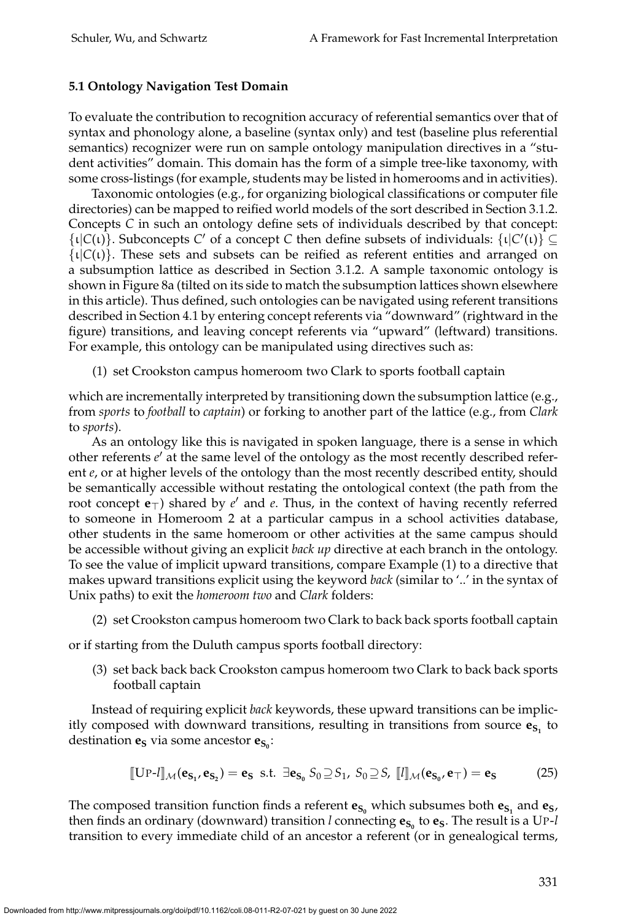# **5.1 Ontology Navigation Test Domain**

To evaluate the contribution to recognition accuracy of referential semantics over that of syntax and phonology alone, a baseline (syntax only) and test (baseline plus referential semantics) recognizer were run on sample ontology manipulation directives in a "student activities" domain. This domain has the form of a simple tree-like taxonomy, with some cross-listings (for example, students may be listed in homerooms and in activities).

Taxonomic ontologies (e.g., for organizing biological classifications or computer file directories) can be mapped to reified world models of the sort described in Section 3.1.2. Concepts *C* in such an ontology define sets of individuals described by that concept:  $\{L|C(t)\}\$ . Subconcepts *C'* of a concept *C* then define subsets of individuals:  $\{L|C'(t)\}\subseteq$  $\{l|C(t)\}\$ . These sets and subsets can be reified as referent entities and arranged on a subsumption lattice as described in Section 3.1.2. A sample taxonomic ontology is shown in Figure 8a (tilted on its side to match the subsumption lattices shown elsewhere in this article). Thus defined, such ontologies can be navigated using referent transitions described in Section 4.1 by entering concept referents via "downward" (rightward in the figure) transitions, and leaving concept referents via "upward" (leftward) transitions. For example, this ontology can be manipulated using directives such as:

(1) set Crookston campus homeroom two Clark to sports football captain

which are incrementally interpreted by transitioning down the subsumption lattice (e.g., from *sports* to *football* to *captain*) or forking to another part of the lattice (e.g., from *Clark* to *sports*).

As an ontology like this is navigated in spoken language, there is a sense in which other referents *e'* at the same level of the ontology as the most recently described referent *e*, or at higher levels of the ontology than the most recently described entity, should be semantically accessible without restating the ontological context (the path from the root concept  $\mathbf{e}_\top$ ) shared by *e'* and *e*. Thus, in the context of having recently referred to someone in Homeroom 2 at a particular campus in a school activities database, other students in the same homeroom or other activities at the same campus should be accessible without giving an explicit *back up* directive at each branch in the ontology. To see the value of implicit upward transitions, compare Example (1) to a directive that makes upward transitions explicit using the keyword *back* (similar to '..' in the syntax of Unix paths) to exit the *homeroom two* and *Clark* folders:

(2) set Crookston campus homeroom two Clark to back back sports football captain

or if starting from the Duluth campus sports football directory:

(3) set back back back Crookston campus homeroom two Clark to back back sports football captain

Instead of requiring explicit *back* keywords, these upward transitions can be implicitly composed with downward transitions, resulting in transitions from source  $\mathbf{e}_{\mathbf{S}_1}$  to destination  $\mathbf{e}_{s}$  via some ancestor  $\mathbf{e}_{s}$ :

$$
[\![\mathbf{U}\mathbf{P}\cdot\mathbf{I}]\!]_{\mathcal{M}}(\mathbf{e}_{S_1},\mathbf{e}_{S_2}) = \mathbf{e}_S \text{ s.t. } \exists \mathbf{e}_{S_0} \ S_0 \supseteq S_1, \ S_0 \supseteq S, \ [\![\mathbf{I}]\!]_{\mathcal{M}}(\mathbf{e}_{S_0},\mathbf{e}_{\top}) = \mathbf{e}_S \tag{25}
$$

The composed transition function finds a referent  $\mathbf{e}_{\mathsf{S}_0}$  which subsumes both  $\mathbf{e}_{\mathsf{S}_1}$  and  $\mathbf{e}_{\mathsf{S}_2}$ , then finds an ordinary (downward) transition *l* connecting  $e_{S_0}$  to  $e_S$ . The result is a UP-*l* transition to every immediate child of an ancestor a referent (or in genealogical terms,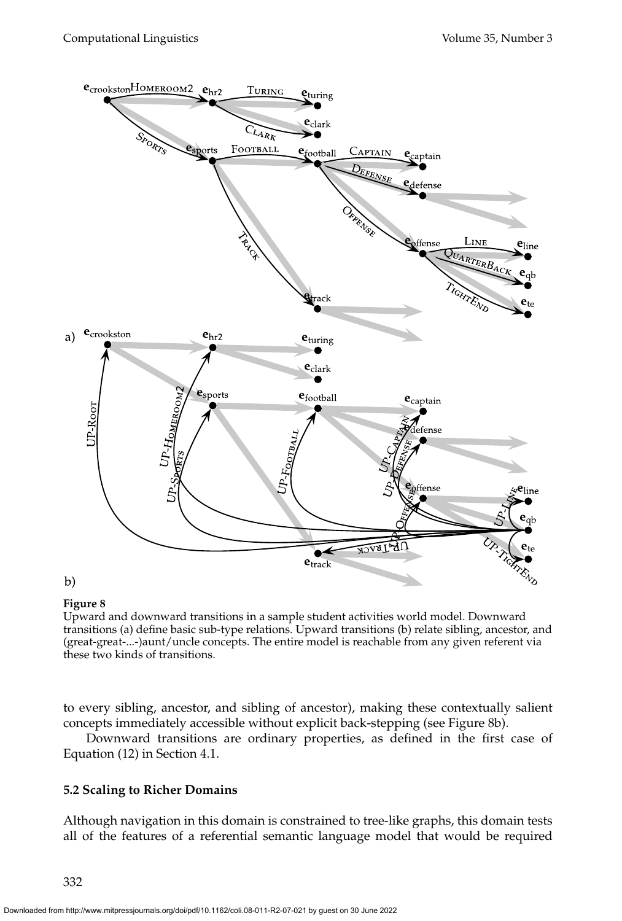

## **Figure 8**

Upward and downward transitions in a sample student activities world model. Downward transitions (a) define basic sub-type relations. Upward transitions (b) relate sibling, ancestor, and (great-great-...-)aunt/uncle concepts. The entire model is reachable from any given referent via these two kinds of transitions.

to every sibling, ancestor, and sibling of ancestor), making these contextually salient concepts immediately accessible without explicit back-stepping (see Figure 8b).

Downward transitions are ordinary properties, as defined in the first case of Equation (12) in Section 4.1.

# **5.2 Scaling to Richer Domains**

Although navigation in this domain is constrained to tree-like graphs, this domain tests all of the features of a referential semantic language model that would be required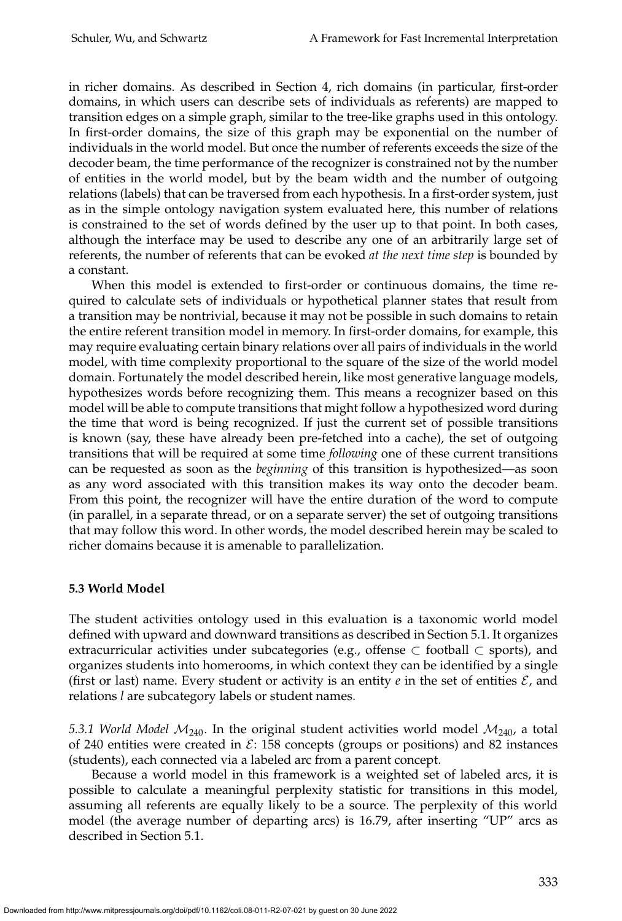in richer domains. As described in Section 4, rich domains (in particular, first-order domains, in which users can describe sets of individuals as referents) are mapped to transition edges on a simple graph, similar to the tree-like graphs used in this ontology. In first-order domains, the size of this graph may be exponential on the number of individuals in the world model. But once the number of referents exceeds the size of the decoder beam, the time performance of the recognizer is constrained not by the number of entities in the world model, but by the beam width and the number of outgoing relations (labels) that can be traversed from each hypothesis. In a first-order system, just as in the simple ontology navigation system evaluated here, this number of relations is constrained to the set of words defined by the user up to that point. In both cases, although the interface may be used to describe any one of an arbitrarily large set of referents, the number of referents that can be evoked *at the next time step* is bounded by a constant.

When this model is extended to first-order or continuous domains, the time required to calculate sets of individuals or hypothetical planner states that result from a transition may be nontrivial, because it may not be possible in such domains to retain the entire referent transition model in memory. In first-order domains, for example, this may require evaluating certain binary relations over all pairs of individuals in the world model, with time complexity proportional to the square of the size of the world model domain. Fortunately the model described herein, like most generative language models, hypothesizes words before recognizing them. This means a recognizer based on this model will be able to compute transitions that might follow a hypothesized word during the time that word is being recognized. If just the current set of possible transitions is known (say, these have already been pre-fetched into a cache), the set of outgoing transitions that will be required at some time *following* one of these current transitions can be requested as soon as the *beginning* of this transition is hypothesized—as soon as any word associated with this transition makes its way onto the decoder beam. From this point, the recognizer will have the entire duration of the word to compute (in parallel, in a separate thread, or on a separate server) the set of outgoing transitions that may follow this word. In other words, the model described herein may be scaled to richer domains because it is amenable to parallelization.

# **5.3 World Model**

The student activities ontology used in this evaluation is a taxonomic world model defined with upward and downward transitions as described in Section 5.1. It organizes extracurricular activities under subcategories (e.g., offense  $\subset$  football  $\subset$  sports), and organizes students into homerooms, in which context they can be identified by a single (first or last) name. Every student or activity is an entity  $e$  in the set of entities  $\mathcal{E}$ , and relations *l* are subcategory labels or student names.

5.3.1 World Model  $M_{240}$ . In the original student activities world model  $M_{240}$ , a total of 240 entities were created in  $\mathcal{E}:$  158 concepts (groups or positions) and 82 instances (students), each connected via a labeled arc from a parent concept.

Because a world model in this framework is a weighted set of labeled arcs, it is possible to calculate a meaningful perplexity statistic for transitions in this model, assuming all referents are equally likely to be a source. The perplexity of this world model (the average number of departing arcs) is 16.79, after inserting "UP" arcs as described in Section 5.1.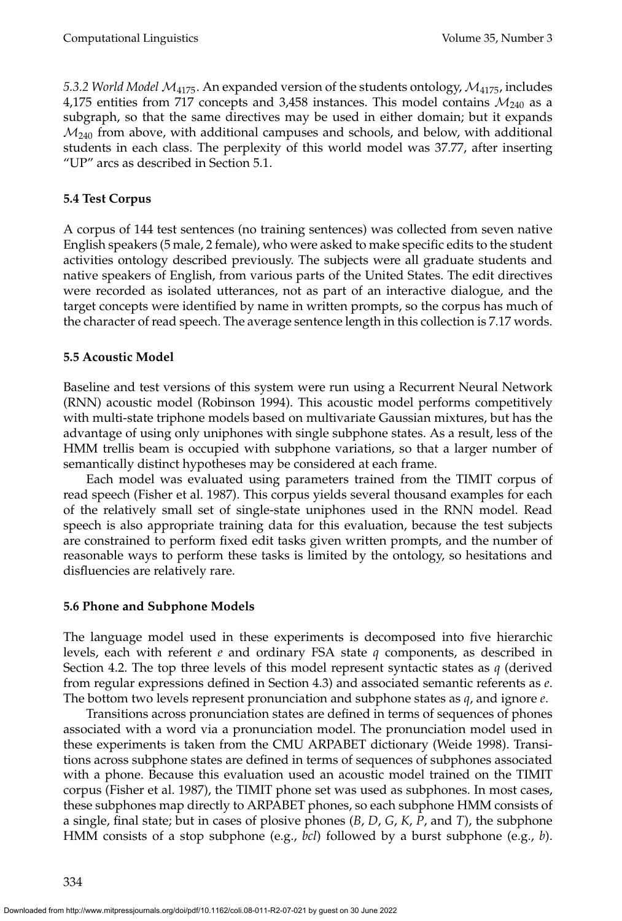*5.3.2 World Model* M4175. An expanded version of the students ontology, M4175, includes 4,175 entities from 717 concepts and 3,458 instances. This model contains  $\mathcal{M}_{240}$  as a subgraph, so that the same directives may be used in either domain; but it expands  $M_{240}$  from above, with additional campuses and schools, and below, with additional students in each class. The perplexity of this world model was 37.77, after inserting "UP" arcs as described in Section 5.1.

# **5.4 Test Corpus**

A corpus of 144 test sentences (no training sentences) was collected from seven native English speakers (5 male, 2 female), who were asked to make specific edits to the student activities ontology described previously. The subjects were all graduate students and native speakers of English, from various parts of the United States. The edit directives were recorded as isolated utterances, not as part of an interactive dialogue, and the target concepts were identified by name in written prompts, so the corpus has much of the character of read speech. The average sentence length in this collection is 7.17 words.

# **5.5 Acoustic Model**

Baseline and test versions of this system were run using a Recurrent Neural Network (RNN) acoustic model (Robinson 1994). This acoustic model performs competitively with multi-state triphone models based on multivariate Gaussian mixtures, but has the advantage of using only uniphones with single subphone states. As a result, less of the HMM trellis beam is occupied with subphone variations, so that a larger number of semantically distinct hypotheses may be considered at each frame.

Each model was evaluated using parameters trained from the TIMIT corpus of read speech (Fisher et al. 1987). This corpus yields several thousand examples for each of the relatively small set of single-state uniphones used in the RNN model. Read speech is also appropriate training data for this evaluation, because the test subjects are constrained to perform fixed edit tasks given written prompts, and the number of reasonable ways to perform these tasks is limited by the ontology, so hesitations and disfluencies are relatively rare.

# **5.6 Phone and Subphone Models**

The language model used in these experiments is decomposed into five hierarchic levels, each with referent *e* and ordinary FSA state *q* components, as described in Section 4.2. The top three levels of this model represent syntactic states as *q* (derived from regular expressions defined in Section 4.3) and associated semantic referents as *e*. The bottom two levels represent pronunciation and subphone states as *q*, and ignore *e*.

Transitions across pronunciation states are defined in terms of sequences of phones associated with a word via a pronunciation model. The pronunciation model used in these experiments is taken from the CMU ARPABET dictionary (Weide 1998). Transitions across subphone states are defined in terms of sequences of subphones associated with a phone. Because this evaluation used an acoustic model trained on the TIMIT corpus (Fisher et al. 1987), the TIMIT phone set was used as subphones. In most cases, these subphones map directly to ARPABET phones, so each subphone HMM consists of a single, final state; but in cases of plosive phones (*B*, *D*, *G*, *K*, *P*, and *T*), the subphone HMM consists of a stop subphone (e.g., *bcl*) followed by a burst subphone (e.g., *b*).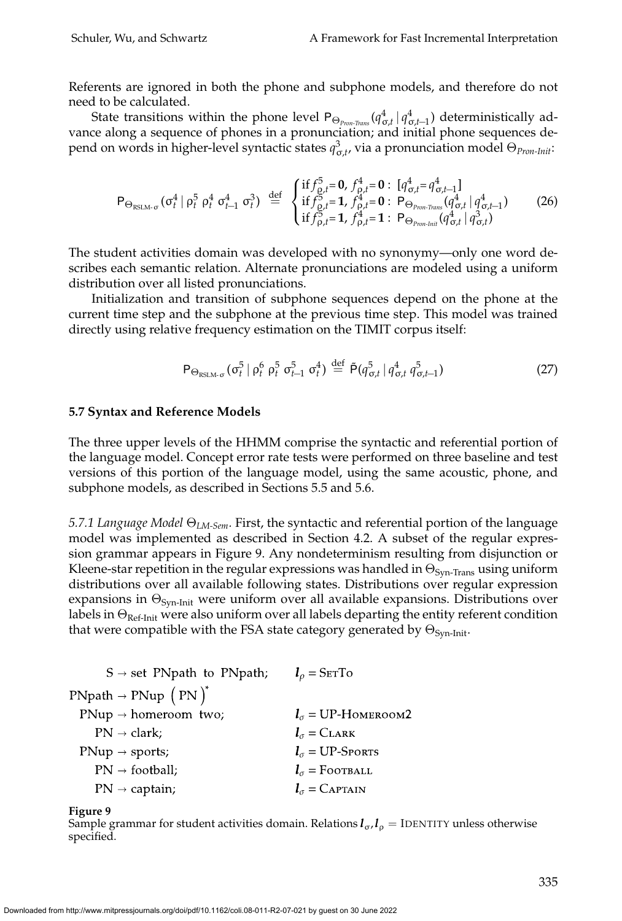Referents are ignored in both the phone and subphone models, and therefore do not need to be calculated.

State transitions within the phone level  $P_{\Theta_{Pron-Trans}}(q_{\sigma,t}^4 \, | \, q_{\sigma,t-1}^4)$  deterministically advance along a sequence of phones in a pronunciation; and initial phone sequences depend on words in higher-level syntactic states  $q_{\sigma,t}^3$  via a pronunciation model  $\Theta_{Pron-Init}$ :

$$
\mathsf{P}_{\Theta_{\text{RSLM-}\sigma}}(\sigma_t^4 \mid \rho_t^5 \rho_t^4 \sigma_{t-1}^4 \sigma_t^3) \stackrel{\text{def}}{=} \begin{cases} \text{if } f_{0,t}^5 = 0, f_{0,t}^4 = 0 : [q_{0,t}^4 = q_{0,t-1}^4] \\ \text{if } f_{0,t}^5 = 1, f_{0,t}^4 = 0 : \mathsf{P}_{\Theta_{\text{Pron-Tarns}}}(q_{0,t}^4 \mid q_{0,t-1}^4) \\ \text{if } f_{0,t}^5 = 1, f_{0,t}^4 = 1 : \mathsf{P}_{\Theta_{\text{Pron-lriti}}}(q_{0,t}^4 \mid q_{0,t}^3) \end{cases} \tag{26}
$$

The student activities domain was developed with no synonymy—only one word describes each semantic relation. Alternate pronunciations are modeled using a uniform distribution over all listed pronunciations.

Initialization and transition of subphone sequences depend on the phone at the current time step and the subphone at the previous time step. This model was trained directly using relative frequency estimation on the TIMIT corpus itself:

$$
\mathsf{P}_{\Theta_{\text{RSLM-}\sigma}}(\sigma_t^5 \mid \rho_t^6 \rho_t^5 \sigma_{t-1}^5 \sigma_t^4) \stackrel{\text{def}}{=} \tilde{\mathsf{P}}(q_{\sigma,t}^5 \mid q_{\sigma,t}^4 \, q_{\sigma,t-1}^5) \tag{27}
$$

## **5.7 Syntax and Reference Models**

The three upper levels of the HHMM comprise the syntactic and referential portion of the language model. Concept error rate tests were performed on three baseline and test versions of this portion of the language model, using the same acoustic, phone, and subphone models, as described in Sections 5.5 and 5.6.

*5.7.1 Language Model* Θ*LM-Sem.* First, the syntactic and referential portion of the language model was implemented as described in Section 4.2. A subset of the regular expression grammar appears in Figure 9. Any nondeterminism resulting from disjunction or Kleene-star repetition in the regular expressions was handled in  $\Theta_{\text{syn-Trans}}$  using uniform distributions over all available following states. Distributions over regular expression expansions in  $\Theta_{\text{Syn-lnit}}$  were uniform over all available expansions. Distributions over labels in  $\Theta_{\text{Ref-Init}}$  were also uniform over all labels departing the entity referent condition that were compatible with the FSA state category generated by  $\Theta_{\text{Syn-Init}}$ .

| $S \rightarrow set$ PNpath to PNpath;    | $l_{\rho} =$ SetTo          |
|------------------------------------------|-----------------------------|
| PNpath $\rightarrow$ PNup $($ PN $)^{*}$ |                             |
| PNup $\rightarrow$ homeroom two;         | $l_{\sigma}$ = UP-HOMEROOM2 |
| $PN \rightarrow clark;$                  | $l_{\sigma}$ = CLARK        |
| $PMup \rightarrow sports;$               | $l_{\sigma}$ = UP-Sports    |
| $PN \rightarrow football;$               | $l_{\sigma}$ = Football     |
| $PN \rightarrow$ captain;                | $l_{\sigma} =$ Captain      |

## **Figure 9**

Sample grammar for student activities domain. Relations  $l_{\sigma}$ ,  $l_{\rho}$  = IDENTITY unless otherwise specified.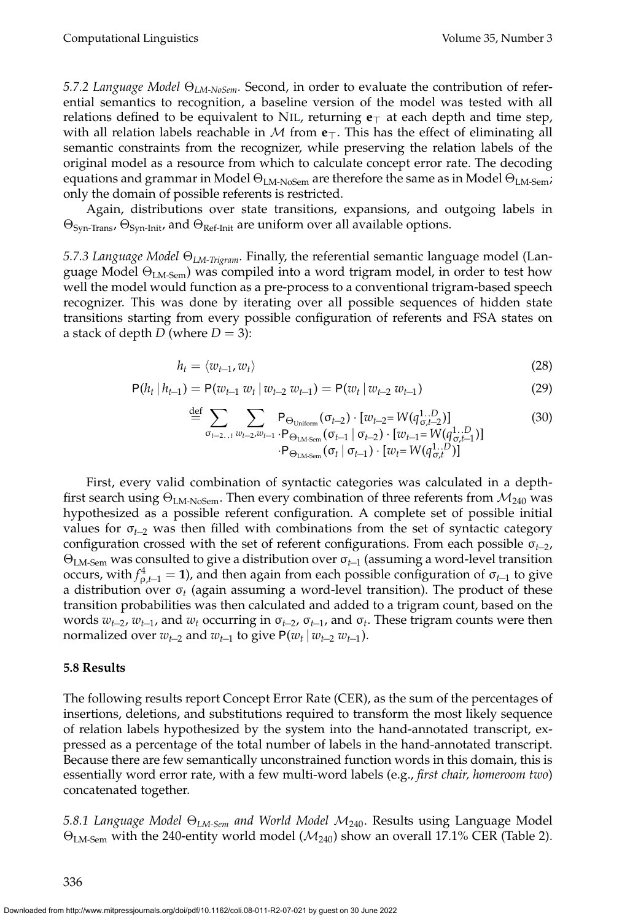*5.7.2 Language Model* Θ*LM-NoSem.* Second, in order to evaluate the contribution of referential semantics to recognition, a baseline version of the model was tested with all relations defined to be equivalent to NIL, returning  $e<sub>T</sub>$  at each depth and time step, with all relation labels reachable in  $M$  from  $e_T$ . This has the effect of eliminating all semantic constraints from the recognizer, while preserving the relation labels of the original model as a resource from which to calculate concept error rate. The decoding equations and grammar in Model  $\Theta_{LM\text{-}NoSem}$  are therefore the same as in Model  $\Theta_{LM\text{-}Sem}$ ; only the domain of possible referents is restricted.

Again, distributions over state transitions, expansions, and outgoing labels in  $\Theta_{Syn\text{-Trans}}$ ,  $\Theta_{Syn\text{-Init}}$ , and  $\Theta_{Ref\text{-Init}}$  are uniform over all available options.

*5.7.3 Language Model* Θ*LM-Trigram.* Finally, the referential semantic language model (Language Model  $\Theta_{LM-Sem}$ ) was compiled into a word trigram model, in order to test how well the model would function as a pre-process to a conventional trigram-based speech recognizer. This was done by iterating over all possible sequences of hidden state transitions starting from every possible configuration of referents and FSA states on a stack of depth *D* (where  $D = 3$ ):

$$
h_t = \langle w_{t-1}, w_t \rangle \tag{28}
$$

$$
P(h_t | h_{t-1}) = P(w_{t-1} | w_t | w_{t-2} w_{t-1}) = P(w_t | w_{t-2} w_{t-1})
$$
\n(29)

$$
\stackrel{\text{def}}{=} \sum_{\sigma_{t-2..t}} \sum_{w_{t-2},w_{t-1}} \Pr_{\Theta_{\text{Uniform}}}(\sigma_{t-2}) \cdot [w_{t-2} = W(q_{\sigma,t-2}^{1..D})] \tag{30}
$$
\n
$$
\Pr_{\Theta_{\text{LM-Sem}}}(\sigma_{t-1} \mid \sigma_{t-2}) \cdot [w_{t-1} = W(q_{\sigma,t-1}^{1..D})] \tag{30}
$$

First, every valid combination of syntactic categories was calculated in a depthfirst search using  $\Theta_{LM\text{-}NoSem}$ . Then every combination of three referents from  $\mathcal{M}_{240}$  was hypothesized as a possible referent configuration. A complete set of possible initial values for  $\sigma_{t-2}$  was then filled with combinations from the set of syntactic category configuration crossed with the set of referent configurations. From each possible  $\sigma_{t-2}$ , ΘLM-Sem was consulted to give a distribution over σ*t*−<sup>1</sup> (assuming a word-level transition occurs, with  $f_{\rho,t-1}^4$  = 1), and then again from each possible configuration of  $\sigma_{t-1}$  to give a distribution over  $\sigma_t$  (again assuming a word-level transition). The product of these transition probabilities was then calculated and added to a trigram count, based on the words  $w_{t-2}$ ,  $w_{t-1}$ , and  $w_t$  occurring in  $\sigma_{t-2}$ ,  $\sigma_{t-1}$ , and  $\sigma_t$ . These trigram counts were then normalized over  $w_{t-2}$  and  $w_{t-1}$  to give P( $w_t | w_{t-2} w_{t-1}$ ).

## **5.8 Results**

The following results report Concept Error Rate (CER), as the sum of the percentages of insertions, deletions, and substitutions required to transform the most likely sequence of relation labels hypothesized by the system into the hand-annotated transcript, expressed as a percentage of the total number of labels in the hand-annotated transcript. Because there are few semantically unconstrained function words in this domain, this is essentially word error rate, with a few multi-word labels (e.g., *first chair, homeroom two*) concatenated together.

*5.8.1 Language Model* Θ*LM-Sem and World Model* M240. Results using Language Model  $\Theta_{LM\text{-sem}}$  with the 240-entity world model ( $\mathcal{M}_{240}$ ) show an overall 17.1% CER (Table 2).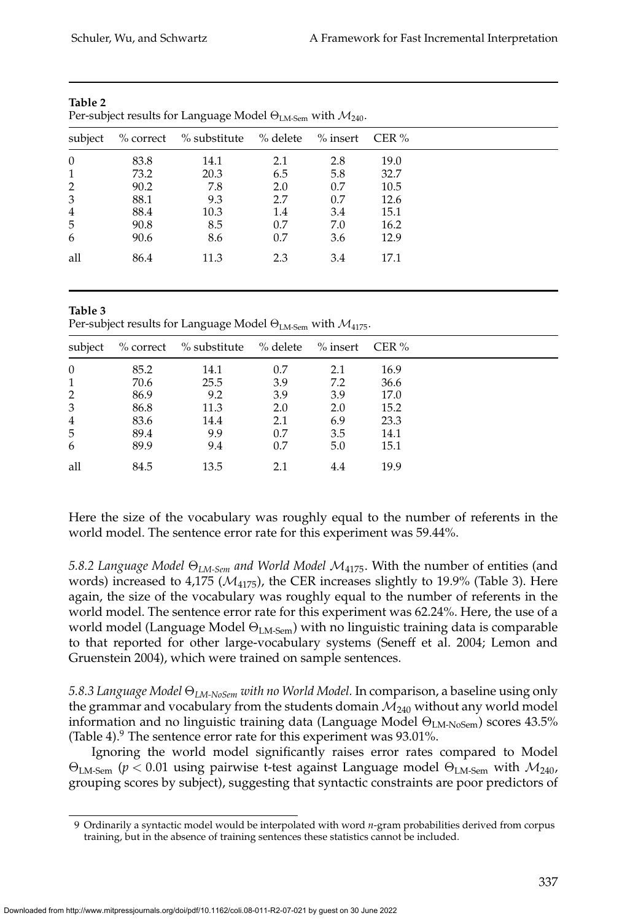| subject        |      | % correct % substitute % delete |     | $\%$ insert | CER % |
|----------------|------|---------------------------------|-----|-------------|-------|
| $\theta$       | 83.8 | 14.1                            | 2.1 | 2.8         | 19.0  |
| 1              | 73.2 | 20.3                            | 6.5 | 5.8         | 32.7  |
| 2              | 90.2 | 7.8                             | 2.0 | 0.7         | 10.5  |
| 3              | 88.1 | 9.3                             | 2.7 | 0.7         | 12.6  |
| $\overline{4}$ | 88.4 | 10.3                            | 1.4 | 3.4         | 15.1  |
| 5              | 90.8 | 8.5                             | 0.7 | 7.0         | 16.2  |
| 6              | 90.6 | 8.6                             | 0.7 | 3.6         | 12.9  |
| all            | 86.4 | 11.3                            | 2.3 | 3.4         | 17.1  |

| Table 2                                                                                    |  |
|--------------------------------------------------------------------------------------------|--|
| Per-subject results for Language Model $\Theta_{LM\text{-sem}}$ with $\mathcal{M}_{240}$ . |  |

**Table 3** Per-subject results for Language Model  $\Theta_{LM\text{-sem}}$  with  $\mathcal{M}_{4175}$ .

| subject        |      | % correct % substitute % delete |     | $\%$ insert | CER $%$ |
|----------------|------|---------------------------------|-----|-------------|---------|
| $\theta$       | 85.2 | 14.1                            | 0.7 | 2.1         | 16.9    |
| 1              | 70.6 | 25.5                            | 3.9 | 7.2         | 36.6    |
| 2              | 86.9 | 9.2                             | 3.9 | 3.9         | 17.0    |
| 3              | 86.8 | 11.3                            | 2.0 | 2.0         | 15.2    |
| $\overline{4}$ | 83.6 | 14.4                            | 2.1 | 6.9         | 23.3    |
| 5              | 89.4 | 9.9                             | 0.7 | 3.5         | 14.1    |
| 6              | 89.9 | 9.4                             | 0.7 | 5.0         | 15.1    |
| all            | 84.5 | 13.5                            | 2.1 | 4.4         | 19.9    |

Here the size of the vocabulary was roughly equal to the number of referents in the world model. The sentence error rate for this experiment was 59.44%.

*5.8.2 Language Model* Θ*LM-Sem and World Model* M4175. With the number of entities (and words) increased to 4,175 ( $\mathcal{M}_{4175}$ ), the CER increases slightly to 19.9% (Table 3). Here again, the size of the vocabulary was roughly equal to the number of referents in the world model. The sentence error rate for this experiment was 62.24%. Here, the use of a world model (Language Model  $\Theta_{LM\text{-sem}}$ ) with no linguistic training data is comparable to that reported for other large-vocabulary systems (Seneff et al. 2004; Lemon and Gruenstein 2004), which were trained on sample sentences.

*5.8.3 Language Model* Θ*LM-NoSem with no World Model.* In comparison, a baseline using only the grammar and vocabulary from the students domain  $M_{240}$  without any world model information and no linguistic training data (Language Model  $\Theta_{LM\text{-}NoSem}$ ) scores 43.5% (Table 4). $9$  The sentence error rate for this experiment was 93.01%.

Ignoring the world model significantly raises error rates compared to Model  $\Theta_{LM\text{-Sem}}$  (*p* < 0.01 using pairwise t-test against Language model  $\Theta_{LM\text{-Sem}}$  with  $\mathcal{M}_{240}$ , grouping scores by subject), suggesting that syntactic constraints are poor predictors of

<sup>9</sup> Ordinarily a syntactic model would be interpolated with word *n*-gram probabilities derived from corpus training, but in the absence of training sentences these statistics cannot be included.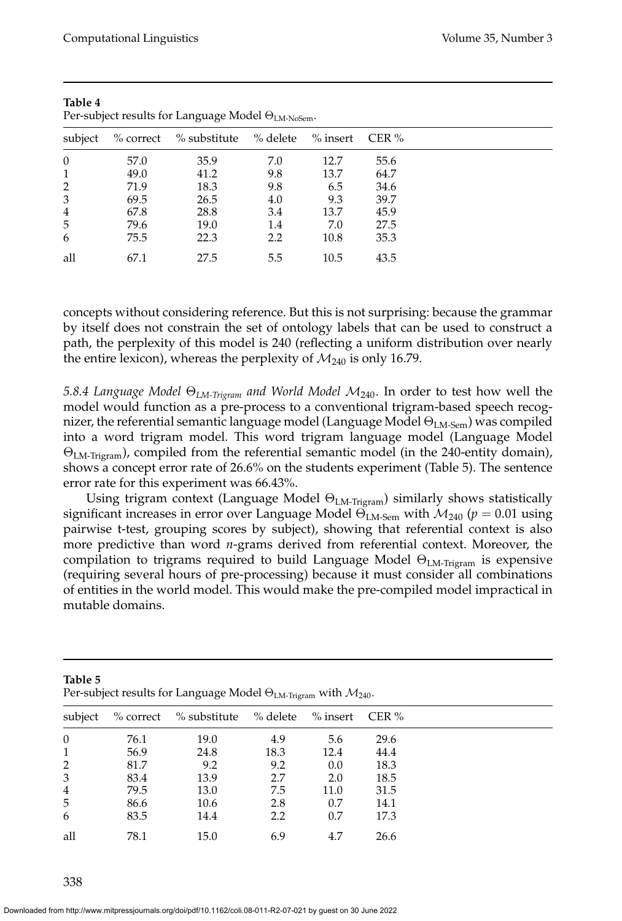|                |              | $\cdot$<br>$\cdot$    | <b>LIVE NUCLE</b> |                    |      |  |
|----------------|--------------|-----------------------|-------------------|--------------------|------|--|
| subject        | $\%$ correct | % substitute % delete |                   | $%$ insert CER $%$ |      |  |
| $\theta$       | 57.0         | 35.9                  | 7.0               | 12.7               | 55.6 |  |
| 1              | 49.0         | 41.2                  | 9.8               | 13.7               | 64.7 |  |
| 2              | 71.9         | 18.3                  | 9.8               | 6.5                | 34.6 |  |
| 3              | 69.5         | 26.5                  | 4.0               | 9.3                | 39.7 |  |
| $\overline{4}$ | 67.8         | 28.8                  | 3.4               | 13.7               | 45.9 |  |
| 5              | 79.6         | 19.0                  | 1.4               | 7.0                | 27.5 |  |
| 6              | 75.5         | 22.3                  | 2.2               | 10.8               | 35.3 |  |
| all            | 67.1         | 27.5                  | 5.5               | 10.5               | 43.5 |  |

| Table 4 |                                                   |  |
|---------|---------------------------------------------------|--|
|         | Per-subject results for Language Model OLM-NoSem. |  |

concepts without considering reference. But this is not surprising: because the grammar by itself does not constrain the set of ontology labels that can be used to construct a path, the perplexity of this model is 240 (reflecting a uniform distribution over nearly the entire lexicon), whereas the perplexity of  $M_{240}$  is only 16.79.

*5.8.4 Language Model* Θ*LM-Trigram and World Model* M240. In order to test how well the model would function as a pre-process to a conventional trigram-based speech recognizer, the referential semantic language model (Language Model  $\Theta_{LM-Sem}$ ) was compiled into a word trigram model. This word trigram language model (Language Model  $\Theta_{LM-Trieram}$ ), compiled from the referential semantic model (in the 240-entity domain), shows a concept error rate of 26.6% on the students experiment (Table 5). The sentence error rate for this experiment was 66.43%.

Using trigram context (Language Model ΘLM-Trigram) similarly shows statistically significant increases in error over Language Model  $\Theta_{LM\text{-sem}}$  with  $\mathcal{M}_{240}$  ( $p = 0.01$  using pairwise t-test, grouping scores by subject), showing that referential context is also more predictive than word *n*-grams derived from referential context. Moreover, the compilation to trigrams required to build Language Model  $\Theta_{LM-Trigram}$  is expensive (requiring several hours of pre-processing) because it must consider all combinations of entities in the world model. This would make the pre-compiled model impractical in mutable domains.

| $\frac{1}{1}$ er-subject results for Language Moder $\cup_{LM\text{-}lrigram}$ with $\mathcal{W}(240)$ . |      |                                 |      |             |         |  |  |  |
|----------------------------------------------------------------------------------------------------------|------|---------------------------------|------|-------------|---------|--|--|--|
| subject                                                                                                  |      | % correct % substitute % delete |      | $\%$ insert | CER $%$ |  |  |  |
| $\theta$                                                                                                 | 76.1 | 19.0                            | 4.9  | 5.6         | 29.6    |  |  |  |
| 1                                                                                                        | 56.9 | 24.8                            | 18.3 | 12.4        | 44.4    |  |  |  |
| 2                                                                                                        | 81.7 | 9.2                             | 9.2  | 0.0         | 18.3    |  |  |  |
| 3                                                                                                        | 83.4 | 13.9                            | 2.7  | 2.0         | 18.5    |  |  |  |
| $\overline{4}$                                                                                           | 79.5 | 13.0                            | 7.5  | 11.0        | 31.5    |  |  |  |
| 5                                                                                                        | 86.6 | 10.6                            | 2.8  | 0.7         | 14.1    |  |  |  |
| 6                                                                                                        | 83.5 | 14.4                            | 2.2  | 0.7         | 17.3    |  |  |  |
| all                                                                                                      | 78.1 | 15.0                            | 6.9  | 4.7         | 26.6    |  |  |  |

| Table 5                                                                                        |  |  |
|------------------------------------------------------------------------------------------------|--|--|
| Per-subject results for Language Model $\Theta_{LM\text{-Trigram}}$ with $\mathcal{M}_{240}$ . |  |  |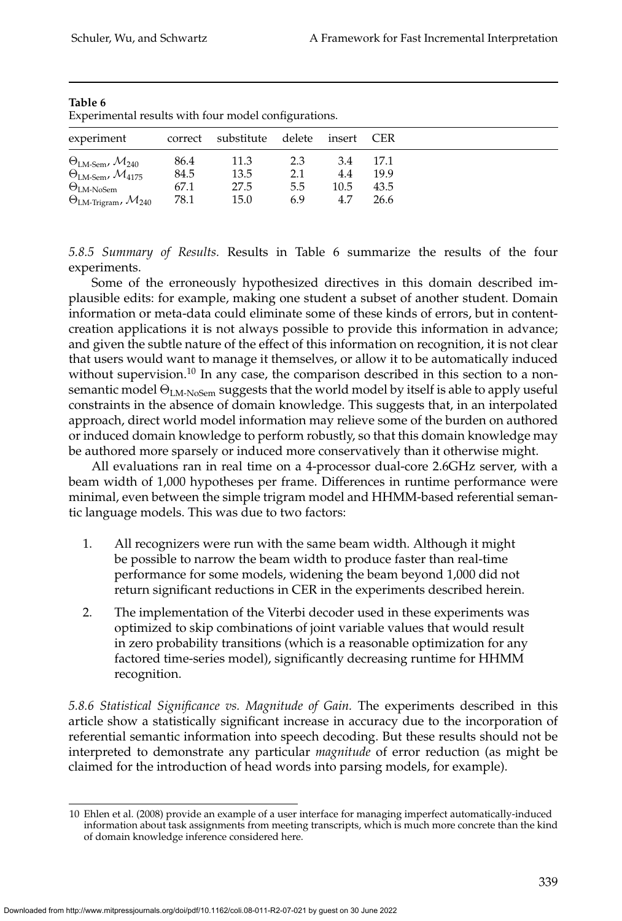| experiment                                         |      | correct substitute delete |     | insert CER |      |
|----------------------------------------------------|------|---------------------------|-----|------------|------|
| $\Theta_{\text{LM-Sem}}$ , $\mathcal{M}_{240}$     | 86.4 | 11.3                      | 2.3 | 3.4        | 17.1 |
| $\Theta_{\text{LM-Sem}}$ , $\mathcal{M}_{4175}$    | 84.5 | 13.5                      | 2.1 | 4.4        | 19.9 |
| $\Theta_{LM\text{-}NoSem}$                         | 67.1 | 27.5                      | 5.5 | 10.5       | 43.5 |
| $\Theta_{\text{LM-Trigram}}$ , $\mathcal{M}_{240}$ | 78.1 | 15.0                      | 6.9 | 4.7        | 26.6 |

## **Table 6** Experimental results with four model configurations.

*5.8.5 Summary of Results.* Results in Table 6 summarize the results of the four experiments.

Some of the erroneously hypothesized directives in this domain described implausible edits: for example, making one student a subset of another student. Domain information or meta-data could eliminate some of these kinds of errors, but in contentcreation applications it is not always possible to provide this information in advance; and given the subtle nature of the effect of this information on recognition, it is not clear that users would want to manage it themselves, or allow it to be automatically induced without supervision.<sup>10</sup> In any case, the comparison described in this section to a nonsemantic model  $\Theta_{LM\text{-}NoSem}$  suggests that the world model by itself is able to apply useful constraints in the absence of domain knowledge. This suggests that, in an interpolated approach, direct world model information may relieve some of the burden on authored or induced domain knowledge to perform robustly, so that this domain knowledge may be authored more sparsely or induced more conservatively than it otherwise might.

All evaluations ran in real time on a 4-processor dual-core 2.6GHz server, with a beam width of 1,000 hypotheses per frame. Differences in runtime performance were minimal, even between the simple trigram model and HHMM-based referential semantic language models. This was due to two factors:

- 1. All recognizers were run with the same beam width. Although it might be possible to narrow the beam width to produce faster than real-time performance for some models, widening the beam beyond 1,000 did not return significant reductions in CER in the experiments described herein.
- 2. The implementation of the Viterbi decoder used in these experiments was optimized to skip combinations of joint variable values that would result in zero probability transitions (which is a reasonable optimization for any factored time-series model), significantly decreasing runtime for HHMM recognition.

*5.8.6 Statistical Significance vs. Magnitude of Gain.* The experiments described in this article show a statistically significant increase in accuracy due to the incorporation of referential semantic information into speech decoding. But these results should not be interpreted to demonstrate any particular *magnitude* of error reduction (as might be claimed for the introduction of head words into parsing models, for example).

<sup>10</sup> Ehlen et al. (2008) provide an example of a user interface for managing imperfect automatically-induced information about taskassignments from meeting transcripts, which is much more concrete than the kind of domain knowledge inference considered here.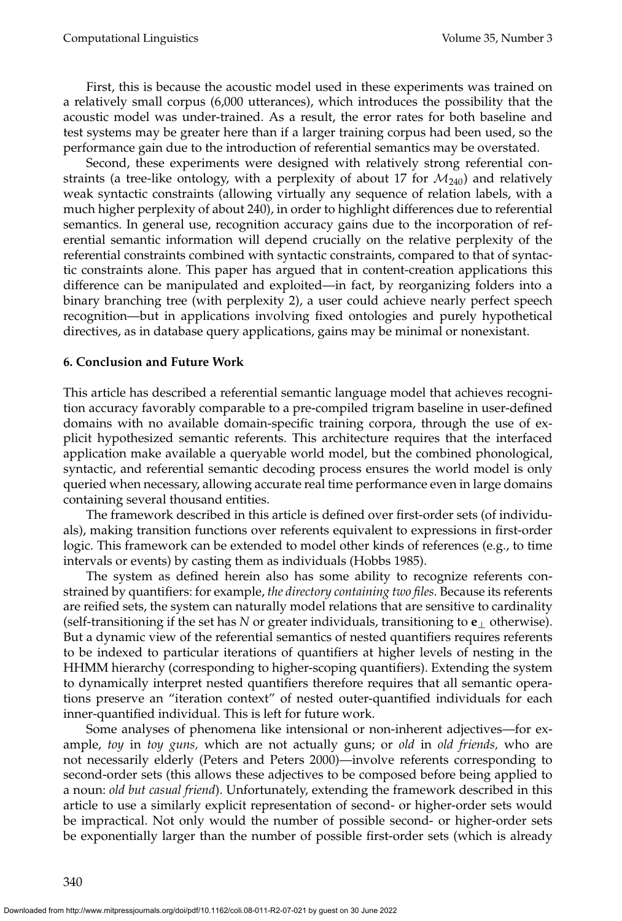First, this is because the acoustic model used in these experiments was trained on a relatively small corpus (6,000 utterances), which introduces the possibility that the acoustic model was under-trained. As a result, the error rates for both baseline and test systems may be greater here than if a larger training corpus had been used, so the performance gain due to the introduction of referential semantics may be overstated.

Second, these experiments were designed with relatively strong referential constraints (a tree-like ontology, with a perplexity of about 17 for  $\mathcal{M}_{240}$ ) and relatively weak syntactic constraints (allowing virtually any sequence of relation labels, with a much higher perplexity of about 240), in order to highlight differences due to referential semantics. In general use, recognition accuracy gains due to the incorporation of referential semantic information will depend crucially on the relative perplexity of the referential constraints combined with syntactic constraints, compared to that of syntactic constraints alone. This paper has argued that in content-creation applications this difference can be manipulated and exploited—in fact, by reorganizing folders into a binary branching tree (with perplexity 2), a user could achieve nearly perfect speech recognition—but in applications involving fixed ontologies and purely hypothetical directives, as in database query applications, gains may be minimal or nonexistant.

## **6. Conclusion and Future Work**

This article has described a referential semantic language model that achieves recognition accuracy favorably comparable to a pre-compiled trigram baseline in user-defined domains with no available domain-specific training corpora, through the use of explicit hypothesized semantic referents. This architecture requires that the interfaced application make available a queryable world model, but the combined phonological, syntactic, and referential semantic decoding process ensures the world model is only queried when necessary, allowing accurate real time performance even in large domains containing several thousand entities.

The framework described in this article is defined over first-order sets (of individuals), making transition functions over referents equivalent to expressions in first-order logic. This framework can be extended to model other kinds of references (e.g., to time intervals or events) by casting them as individuals (Hobbs 1985).

The system as defined herein also has some ability to recognize referents constrained by quantifiers: for example, *the directory containing two files.* Because its referents are reified sets, the system can naturally model relations that are sensitive to cardinality (self-transitioning if the set has *N* or greater individuals, transitioning to **e**<sup>⊥</sup> otherwise). But a dynamic view of the referential semantics of nested quantifiers requires referents to be indexed to particular iterations of quantifiers at higher levels of nesting in the HHMM hierarchy (corresponding to higher-scoping quantifiers). Extending the system to dynamically interpret nested quantifiers therefore requires that all semantic operations preserve an "iteration context" of nested outer-quantified individuals for each inner-quantified individual. This is left for future work.

Some analyses of phenomena like intensional or non-inherent adjectives—for example, *toy* in *toy guns,* which are not actually guns; or *old* in *old friends,* who are not necessarily elderly (Peters and Peters 2000)—involve referents corresponding to second-order sets (this allows these adjectives to be composed before being applied to a noun: *old but casual friend*). Unfortunately, extending the framework described in this article to use a similarly explicit representation of second- or higher-order sets would be impractical. Not only would the number of possible second- or higher-order sets be exponentially larger than the number of possible first-order sets (which is already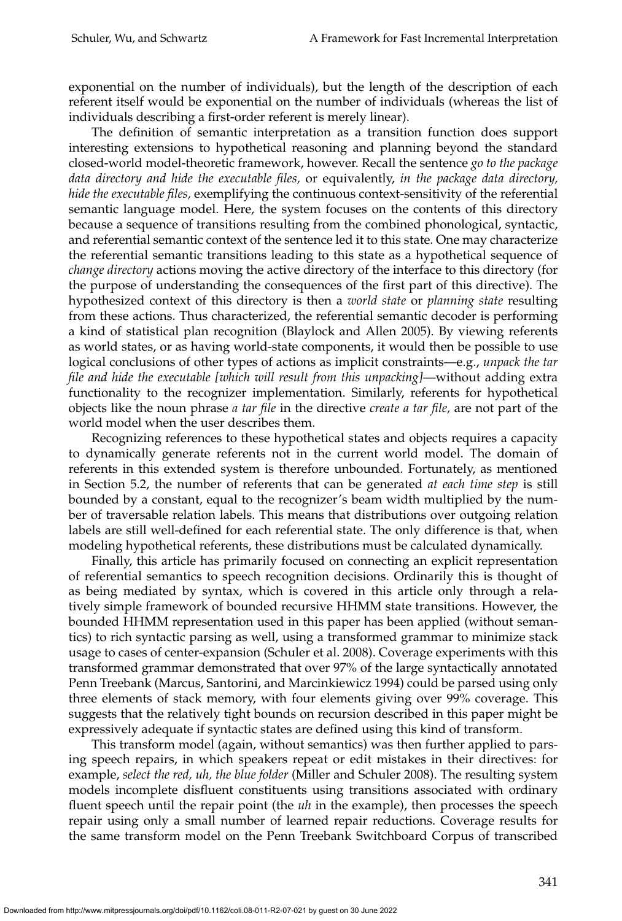exponential on the number of individuals), but the length of the description of each referent itself would be exponential on the number of individuals (whereas the list of individuals describing a first-order referent is merely linear).

The definition of semantic interpretation as a transition function does support interesting extensions to hypothetical reasoning and planning beyond the standard closed-world model-theoretic framework, however. Recall the sentence *go to the package data directory and hide the executable files,* or equivalently, *in the package data directory, hide the executable files,* exemplifying the continuous context-sensitivity of the referential semantic language model. Here, the system focuses on the contents of this directory because a sequence of transitions resulting from the combined phonological, syntactic, and referential semantic context of the sentence led it to this state. One may characterize the referential semantic transitions leading to this state as a hypothetical sequence of *change directory* actions moving the active directory of the interface to this directory (for the purpose of understanding the consequences of the first part of this directive). The hypothesized context of this directory is then a *world state* or *planning state* resulting from these actions. Thus characterized, the referential semantic decoder is performing a kind of statistical plan recognition (Blaylock and Allen 2005). By viewing referents as world states, or as having world-state components, it would then be possible to use logical conclusions of other types of actions as implicit constraints—e.g., *unpack the tar file and hide the executable [which will result from this unpacking]*—without adding extra functionality to the recognizer implementation. Similarly, referents for hypothetical objects like the noun phrase *a tar file* in the directive *create a tar file,* are not part of the world model when the user describes them.

Recognizing references to these hypothetical states and objects requires a capacity to dynamically generate referents not in the current world model. The domain of referents in this extended system is therefore unbounded. Fortunately, as mentioned in Section 5.2, the number of referents that can be generated *at each time step* is still bounded by a constant, equal to the recognizer's beam width multiplied by the number of traversable relation labels. This means that distributions over outgoing relation labels are still well-defined for each referential state. The only difference is that, when modeling hypothetical referents, these distributions must be calculated dynamically.

Finally, this article has primarily focused on connecting an explicit representation of referential semantics to speech recognition decisions. Ordinarily this is thought of as being mediated by syntax, which is covered in this article only through a relatively simple framework of bounded recursive HHMM state transitions. However, the bounded HHMM representation used in this paper has been applied (without semantics) to rich syntactic parsing as well, using a transformed grammar to minimize stack usage to cases of center-expansion (Schuler et al. 2008). Coverage experiments with this transformed grammar demonstrated that over 97% of the large syntactically annotated Penn Treebank(Marcus, Santorini, and Marcinkiewicz 1994) could be parsed using only three elements of stack memory, with four elements giving over 99% coverage. This suggests that the relatively tight bounds on recursion described in this paper might be expressively adequate if syntactic states are defined using this kind of transform.

This transform model (again, without semantics) was then further applied to parsing speech repairs, in which speakers repeat or edit mistakes in their directives: for example, *select the red, uh, the blue folder* (Miller and Schuler 2008). The resulting system models incomplete disfluent constituents using transitions associated with ordinary fluent speech until the repair point (the *uh* in the example), then processes the speech repair using only a small number of learned repair reductions. Coverage results for the same transform model on the Penn Treebank Switchboard Corpus of transcribed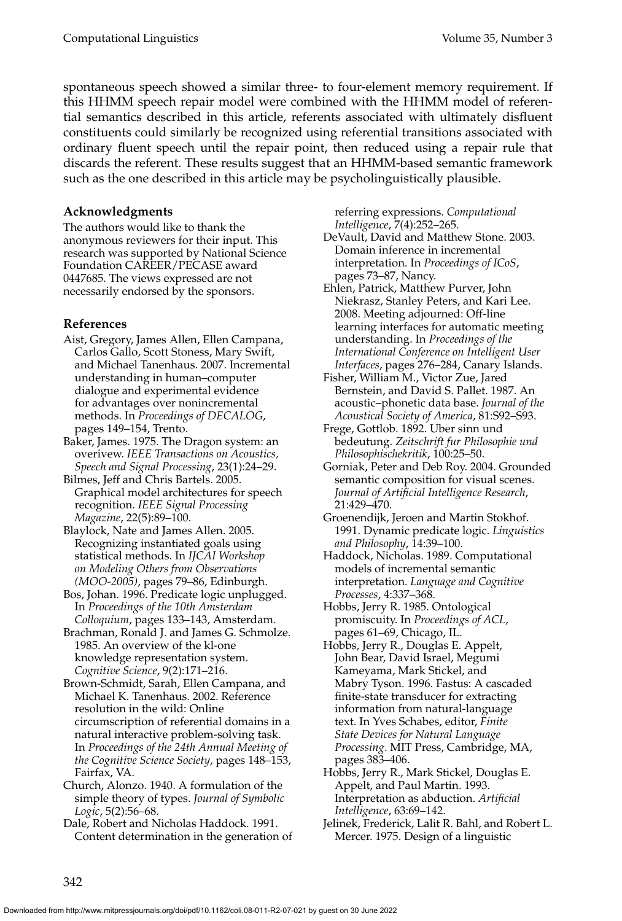spontaneous speech showed a similar three- to four-element memory requirement. If this HHMM speech repair model were combined with the HHMM model of referential semantics described in this article, referents associated with ultimately disfluent constituents could similarly be recognized using referential transitions associated with ordinary fluent speech until the repair point, then reduced using a repair rule that discards the referent. These results suggest that an HHMM-based semantic framework such as the one described in this article may be psycholinguistically plausible.

# **Acknowledgments**

The authors would like to thank the anonymous reviewers for their input. This research was supported by National Science Foundation CAREER/PECASE award 0447685. The views expressed are not necessarily endorsed by the sponsors.

# **References**

- Aist, Gregory, James Allen, Ellen Campana, Carlos Gallo, Scott Stoness, Mary Swift, and Michael Tanenhaus. 2007. Incremental understanding in human–computer dialogue and experimental evidence for advantages over nonincremental methods. In *Proceedings of DECALOG*, pages 149–154, Trento.
- Baker, James. 1975. The Dragon system: an overivew. *IEEE Transactions on Acoustics, Speech and Signal Processing*, 23(1):24–29.
- Bilmes, Jeff and Chris Bartels. 2005. Graphical model architectures for speech recognition. *IEEE Signal Processing Magazine*, 22(5):89–100.
- Blaylock, Nate and James Allen. 2005. Recognizing instantiated goals using statistical methods. In *IJCAI Workshop on Modeling Others from Observations (MOO-2005)*, pages 79–86, Edinburgh.
- Bos, Johan. 1996. Predicate logic unplugged. In *Proceedings of the 10th Amsterdam Colloquium*, pages 133–143, Amsterdam.
- Brachman, Ronald J. and James G. Schmolze. 1985. An overview of the kl-one knowledge representation system. *Cognitive Science*, 9(2):171–216.
- Brown-Schmidt, Sarah, Ellen Campana, and Michael K. Tanenhaus. 2002. Reference resolution in the wild: Online circumscription of referential domains in a natural interactive problem-solving task. In *Proceedings of the 24th Annual Meeting of the Cognitive Science Society*, pages 148–153, Fairfax, VA.
- Church, Alonzo. 1940. A formulation of the simple theory of types. *Journal of Symbolic Logic*, 5(2):56–68.
- Dale, Robert and Nicholas Haddock. 1991. Content determination in the generation of

referring expressions. *Computational Intelligence*, 7(4):252–265.

- DeVault, David and Matthew Stone. 2003. Domain inference in incremental interpretation. In *Proceedings of ICoS*, pages 73–87, Nancy.
- Ehlen, Patrick, Matthew Purver, John Niekrasz, Stanley Peters, and Kari Lee. 2008. Meeting adjourned: Off-line learning interfaces for automatic meeting understanding. In *Proceedings of the International Conference on Intelligent User Interfaces*, pages 276–284, Canary Islands.
- Fisher, William M., Victor Zue, Jared Bernstein, and David S. Pallet. 1987. An acoustic–phonetic data base. *Journal of the Acoustical Society of America*, 81:S92–S93.
- Frege, Gottlob. 1892. Uber sinn und bedeutung. *Zeitschrift fur Philosophie und Philosophischekritik*, 100:25–50.
- Gorniak, Peter and Deb Roy. 2004. Grounded semantic composition for visual scenes. *Journal of Artificial Intelligence Research*, 21:429–470.
- Groenendijk, Jeroen and Martin Stokhof. 1991. Dynamic predicate logic. *Linguistics and Philosophy*, 14:39–100.
- Haddock, Nicholas. 1989. Computational models of incremental semantic interpretation. *Language and Cognitive Processes*, 4:337–368.
- Hobbs, Jerry R. 1985. Ontological promiscuity. In *Proceedings of ACL*, pages 61–69, Chicago, IL.
- Hobbs, Jerry R., Douglas E. Appelt, John Bear, David Israel, Megumi Kameyama, MarkStickel, and Mabry Tyson. 1996. Fastus: A cascaded finite-state transducer for extracting information from natural-language text. In Yves Schabes, editor, *Finite State Devices for Natural Language Processing*. MIT Press, Cambridge, MA, pages 383–406.
- Hobbs, Jerry R., Mark Stickel, Douglas E. Appelt, and Paul Martin. 1993. Interpretation as abduction. *Artificial Intelligence*, 63:69–142.
- Jelinek, Frederick, Lalit R. Bahl, and Robert L. Mercer. 1975. Design of a linguistic